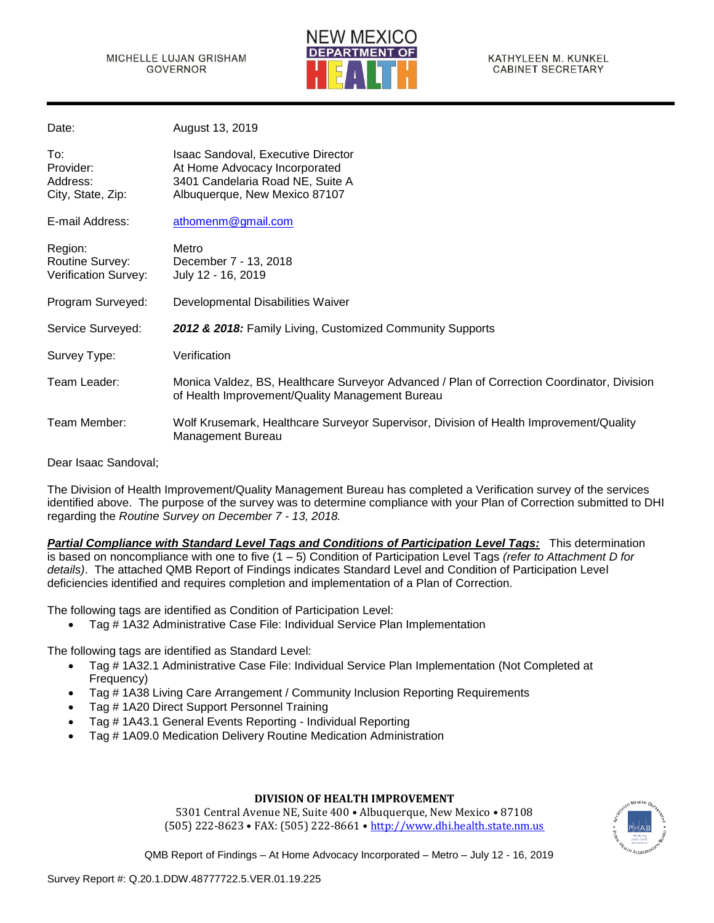

| Date:                                              | August 13, 2019                                                                                                                               |
|----------------------------------------------------|-----------------------------------------------------------------------------------------------------------------------------------------------|
| To:<br>Provider:<br>Address:<br>City, State, Zip:  | Isaac Sandoval, Executive Director<br>At Home Advocacy Incorporated<br>3401 Candelaria Road NE, Suite A<br>Albuquerque, New Mexico 87107      |
| E-mail Address:                                    | athomenm@gmail.com                                                                                                                            |
| Region:<br>Routine Survey:<br>Verification Survey: | Metro<br>December 7 - 13, 2018<br>July 12 - 16, 2019                                                                                          |
| Program Surveyed:                                  | Developmental Disabilities Waiver                                                                                                             |
| Service Surveyed:                                  | 2012 & 2018: Family Living, Customized Community Supports                                                                                     |
| Survey Type:                                       | Verification                                                                                                                                  |
| Team Leader:                                       | Monica Valdez, BS, Healthcare Surveyor Advanced / Plan of Correction Coordinator, Division<br>of Health Improvement/Quality Management Bureau |
| Team Member:                                       | Wolf Krusemark, Healthcare Surveyor Supervisor, Division of Health Improvement/Quality<br>Management Bureau                                   |

Dear Isaac Sandoval;

The Division of Health Improvement/Quality Management Bureau has completed a Verification survey of the services identified above. The purpose of the survey was to determine compliance with your Plan of Correction submitted to DHI regarding the *Routine Survey on December 7 - 13, 2018.*

*Partial Compliance with Standard Level Tags and Conditions of Participation Level Tags:* This determination is based on noncompliance with one to five (1 – 5) Condition of Participation Level Tags *(refer to Attachment D for details)*. The attached QMB Report of Findings indicates Standard Level and Condition of Participation Level deficiencies identified and requires completion and implementation of a Plan of Correction.

The following tags are identified as Condition of Participation Level:

• Tag # 1A32 Administrative Case File: Individual Service Plan Implementation

The following tags are identified as Standard Level:

- Tag # 1A32.1 Administrative Case File: Individual Service Plan Implementation (Not Completed at Frequency)
- Tag # 1A38 Living Care Arrangement / Community Inclusion Reporting Requirements
- Tag # 1A20 Direct Support Personnel Training
- Tag # 1A43.1 General Events Reporting Individual Reporting
- Tag # 1A09.0 Medication Delivery Routine Medication Administration

## **DIVISION OF HEALTH IMPROVEMENT**

5301 Central Avenue NE, Suite 400 • Albuquerque, New Mexico • 87108 (505) 222-8623 • FAX: (505) 222-8661 • [http://www.dhi.health.state.nm.us](http://www.dhi.health.state.nm.us/)

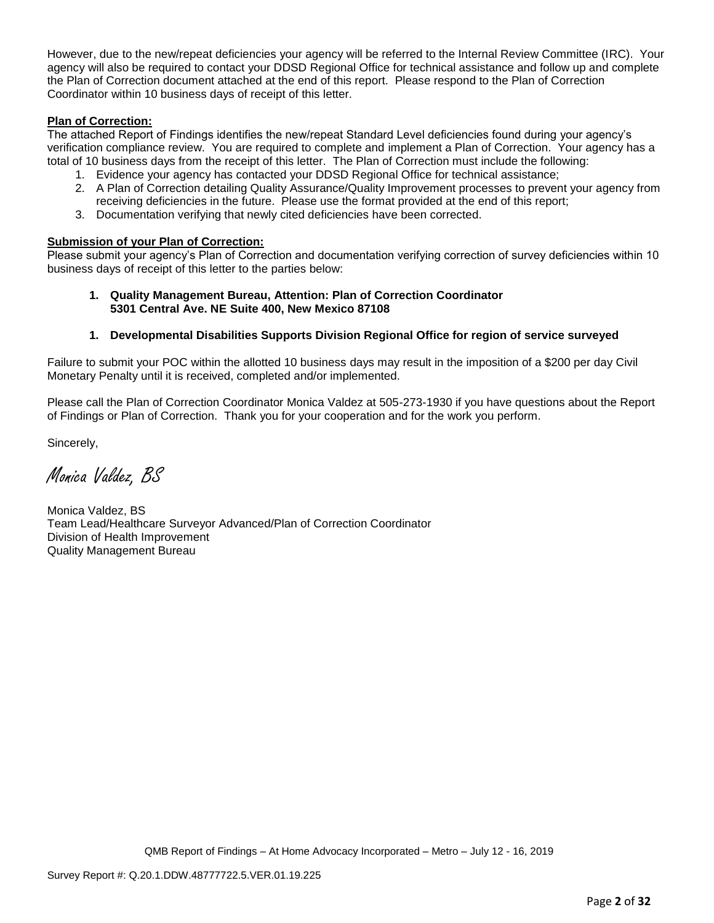However, due to the new/repeat deficiencies your agency will be referred to the Internal Review Committee (IRC). Your agency will also be required to contact your DDSD Regional Office for technical assistance and follow up and complete the Plan of Correction document attached at the end of this report. Please respond to the Plan of Correction Coordinator within 10 business days of receipt of this letter.

# **Plan of Correction:**

The attached Report of Findings identifies the new/repeat Standard Level deficiencies found during your agency's verification compliance review. You are required to complete and implement a Plan of Correction. Your agency has a total of 10 business days from the receipt of this letter. The Plan of Correction must include the following:

- 1. Evidence your agency has contacted your DDSD Regional Office for technical assistance;
- 2. A Plan of Correction detailing Quality Assurance/Quality Improvement processes to prevent your agency from receiving deficiencies in the future. Please use the format provided at the end of this report;
- 3. Documentation verifying that newly cited deficiencies have been corrected.

### **Submission of your Plan of Correction:**

Please submit your agency's Plan of Correction and documentation verifying correction of survey deficiencies within 10 business days of receipt of this letter to the parties below:

**1. Quality Management Bureau, Attention: Plan of Correction Coordinator 5301 Central Ave. NE Suite 400, New Mexico 87108**

## **1. Developmental Disabilities Supports Division Regional Office for region of service surveyed**

Failure to submit your POC within the allotted 10 business days may result in the imposition of a \$200 per day Civil Monetary Penalty until it is received, completed and/or implemented.

Please call the Plan of Correction Coordinator Monica Valdez at 505-273-1930 if you have questions about the Report of Findings or Plan of Correction. Thank you for your cooperation and for the work you perform.

Sincerely,

Monica Valdez, BS

Monica Valdez, BS Team Lead/Healthcare Surveyor Advanced/Plan of Correction Coordinator Division of Health Improvement Quality Management Bureau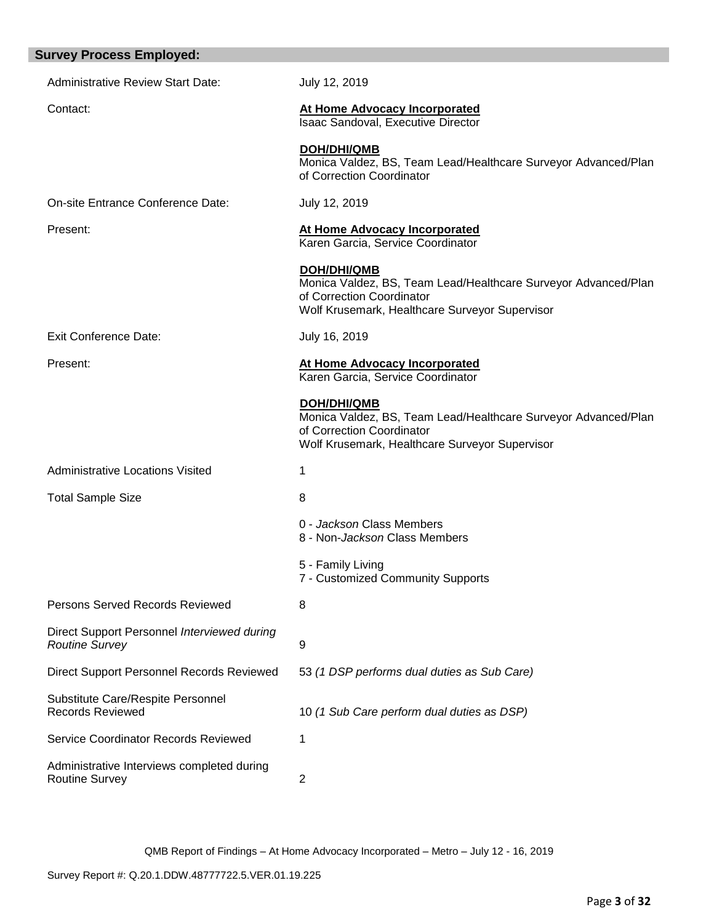| <b>Survey Process Employed:</b>                                      |                                                                                                                                                                     |
|----------------------------------------------------------------------|---------------------------------------------------------------------------------------------------------------------------------------------------------------------|
| <b>Administrative Review Start Date:</b>                             | July 12, 2019                                                                                                                                                       |
| Contact:                                                             | At Home Advocacy Incorporated<br>Isaac Sandoval, Executive Director                                                                                                 |
|                                                                      | <b>DOH/DHI/QMB</b><br>Monica Valdez, BS, Team Lead/Healthcare Surveyor Advanced/Plan<br>of Correction Coordinator                                                   |
| On-site Entrance Conference Date:                                    | July 12, 2019                                                                                                                                                       |
| Present:                                                             | <b>At Home Advocacy Incorporated</b><br>Karen Garcia, Service Coordinator                                                                                           |
|                                                                      | <b>DOH/DHI/QMB</b><br>Monica Valdez, BS, Team Lead/Healthcare Surveyor Advanced/Plan<br>of Correction Coordinator<br>Wolf Krusemark, Healthcare Surveyor Supervisor |
| <b>Exit Conference Date:</b>                                         | July 16, 2019                                                                                                                                                       |
| Present:                                                             | At Home Advocacy Incorporated<br>Karen Garcia, Service Coordinator                                                                                                  |
|                                                                      | <b>DOH/DHI/QMB</b><br>Monica Valdez, BS, Team Lead/Healthcare Surveyor Advanced/Plan<br>of Correction Coordinator<br>Wolf Krusemark, Healthcare Surveyor Supervisor |
| <b>Administrative Locations Visited</b>                              | 1                                                                                                                                                                   |
| <b>Total Sample Size</b>                                             | 8                                                                                                                                                                   |
|                                                                      | 0 - Jackson Class Members<br>8 - Non- <i>Jackson</i> Class Members                                                                                                  |
|                                                                      | 5 - Family Living<br>7 - Customized Community Supports                                                                                                              |
| Persons Served Records Reviewed                                      | 8                                                                                                                                                                   |
| Direct Support Personnel Interviewed during<br><b>Routine Survey</b> | 9                                                                                                                                                                   |
| Direct Support Personnel Records Reviewed                            | 53 (1 DSP performs dual duties as Sub Care)                                                                                                                         |
| Substitute Care/Respite Personnel<br><b>Records Reviewed</b>         | 10 (1 Sub Care perform dual duties as DSP)                                                                                                                          |
| Service Coordinator Records Reviewed                                 | 1                                                                                                                                                                   |
| Administrative Interviews completed during<br>Routine Survey         | $\overline{2}$                                                                                                                                                      |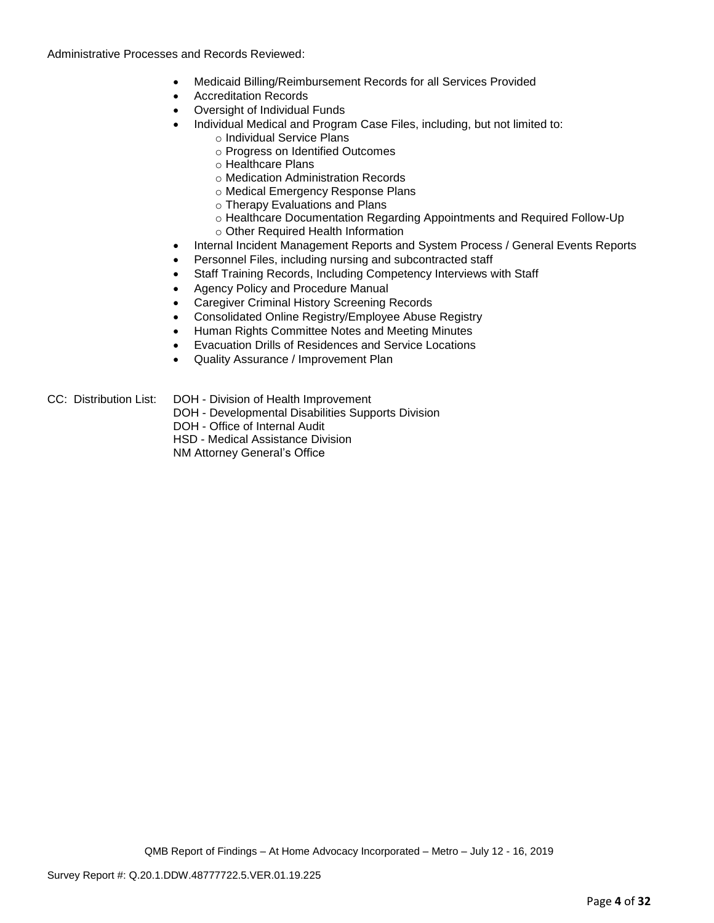Administrative Processes and Records Reviewed:

- Medicaid Billing/Reimbursement Records for all Services Provided
- Accreditation Records
- Oversight of Individual Funds
- Individual Medical and Program Case Files, including, but not limited to:
	- o Individual Service Plans
		- o Progress on Identified Outcomes
		- o Healthcare Plans
		- o Medication Administration Records
		- o Medical Emergency Response Plans
		- o Therapy Evaluations and Plans
		- o Healthcare Documentation Regarding Appointments and Required Follow-Up
	- o Other Required Health Information
- Internal Incident Management Reports and System Process / General Events Reports
- Personnel Files, including nursing and subcontracted staff
- Staff Training Records, Including Competency Interviews with Staff
- Agency Policy and Procedure Manual
- Caregiver Criminal History Screening Records
- Consolidated Online Registry/Employee Abuse Registry
- Human Rights Committee Notes and Meeting Minutes
- Evacuation Drills of Residences and Service Locations
- Quality Assurance / Improvement Plan
- CC: Distribution List: DOH Division of Health Improvement
	- DOH Developmental Disabilities Supports Division
	- DOH Office of Internal Audit
	- HSD Medical Assistance Division

NM Attorney General's Office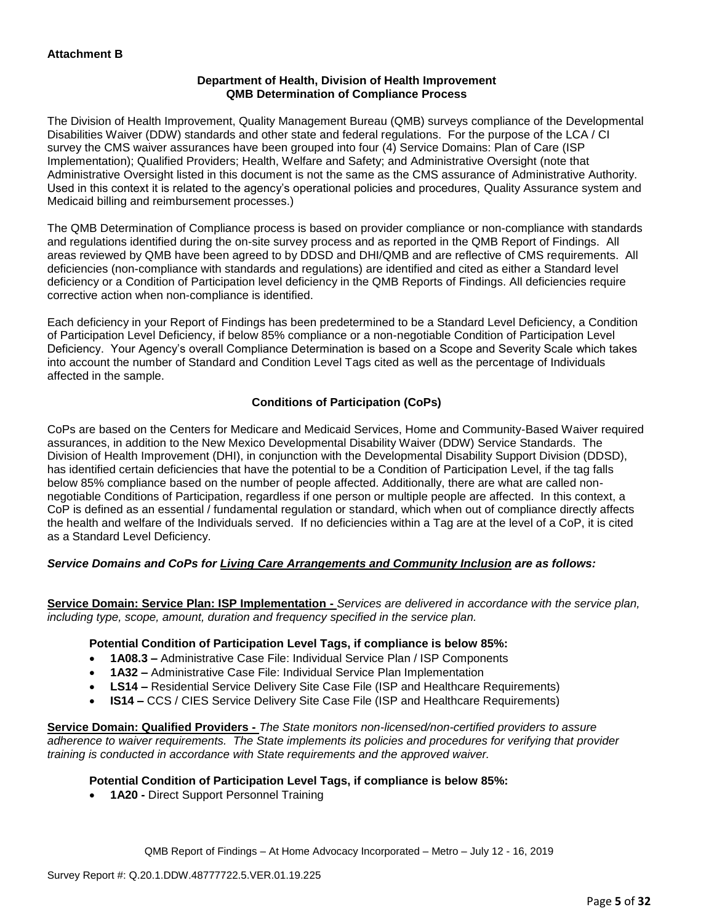# **Department of Health, Division of Health Improvement QMB Determination of Compliance Process**

The Division of Health Improvement, Quality Management Bureau (QMB) surveys compliance of the Developmental Disabilities Waiver (DDW) standards and other state and federal regulations. For the purpose of the LCA / CI survey the CMS waiver assurances have been grouped into four (4) Service Domains: Plan of Care (ISP Implementation); Qualified Providers; Health, Welfare and Safety; and Administrative Oversight (note that Administrative Oversight listed in this document is not the same as the CMS assurance of Administrative Authority. Used in this context it is related to the agency's operational policies and procedures, Quality Assurance system and Medicaid billing and reimbursement processes.)

The QMB Determination of Compliance process is based on provider compliance or non-compliance with standards and regulations identified during the on-site survey process and as reported in the QMB Report of Findings. All areas reviewed by QMB have been agreed to by DDSD and DHI/QMB and are reflective of CMS requirements. All deficiencies (non-compliance with standards and regulations) are identified and cited as either a Standard level deficiency or a Condition of Participation level deficiency in the QMB Reports of Findings. All deficiencies require corrective action when non-compliance is identified.

Each deficiency in your Report of Findings has been predetermined to be a Standard Level Deficiency, a Condition of Participation Level Deficiency, if below 85% compliance or a non-negotiable Condition of Participation Level Deficiency. Your Agency's overall Compliance Determination is based on a Scope and Severity Scale which takes into account the number of Standard and Condition Level Tags cited as well as the percentage of Individuals affected in the sample.

# **Conditions of Participation (CoPs)**

CoPs are based on the Centers for Medicare and Medicaid Services, Home and Community-Based Waiver required assurances, in addition to the New Mexico Developmental Disability Waiver (DDW) Service Standards. The Division of Health Improvement (DHI), in conjunction with the Developmental Disability Support Division (DDSD), has identified certain deficiencies that have the potential to be a Condition of Participation Level, if the tag falls below 85% compliance based on the number of people affected. Additionally, there are what are called nonnegotiable Conditions of Participation, regardless if one person or multiple people are affected. In this context, a CoP is defined as an essential / fundamental regulation or standard, which when out of compliance directly affects the health and welfare of the Individuals served. If no deficiencies within a Tag are at the level of a CoP, it is cited as a Standard Level Deficiency.

# *Service Domains and CoPs for Living Care Arrangements and Community Inclusion are as follows:*

**Service Domain: Service Plan: ISP Implementation -** *Services are delivered in accordance with the service plan, including type, scope, amount, duration and frequency specified in the service plan.*

### **Potential Condition of Participation Level Tags, if compliance is below 85%:**

- **1A08.3 –** Administrative Case File: Individual Service Plan / ISP Components
- **1A32 –** Administrative Case File: Individual Service Plan Implementation
- **LS14 –** Residential Service Delivery Site Case File (ISP and Healthcare Requirements)
- **IS14 –** CCS / CIES Service Delivery Site Case File (ISP and Healthcare Requirements)

**Service Domain: Qualified Providers -** *The State monitors non-licensed/non-certified providers to assure adherence to waiver requirements. The State implements its policies and procedures for verifying that provider training is conducted in accordance with State requirements and the approved waiver.*

# **Potential Condition of Participation Level Tags, if compliance is below 85%:**

• **1A20 -** Direct Support Personnel Training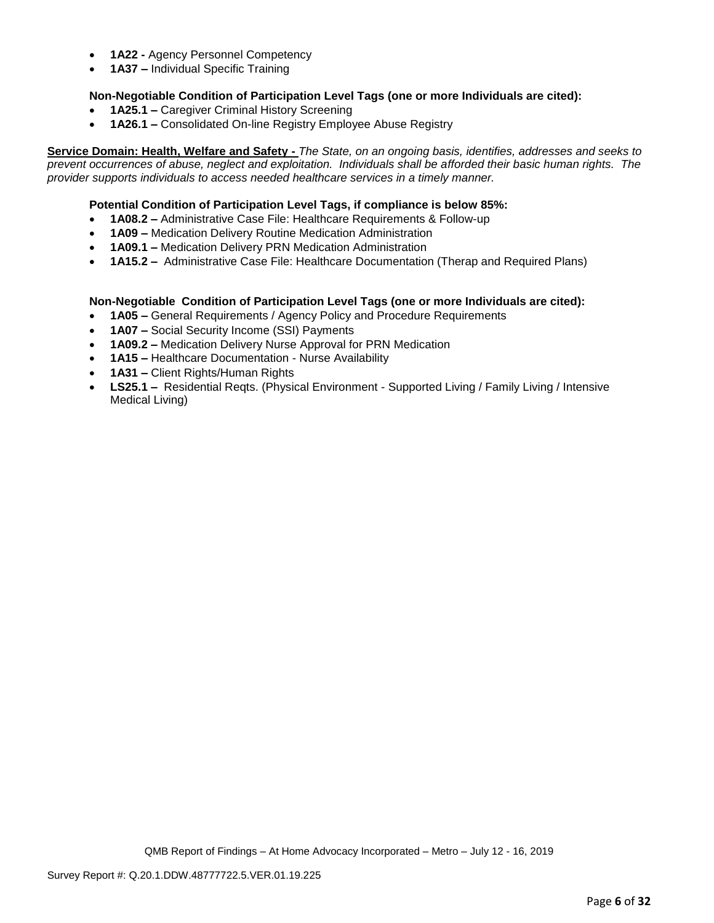- **1A22 -** Agency Personnel Competency
- **1A37 –** Individual Specific Training

## **Non-Negotiable Condition of Participation Level Tags (one or more Individuals are cited):**

- **1A25.1 –** Caregiver Criminal History Screening
- **1A26.1 –** Consolidated On-line Registry Employee Abuse Registry

**Service Domain: Health, Welfare and Safety -** *The State, on an ongoing basis, identifies, addresses and seeks to prevent occurrences of abuse, neglect and exploitation. Individuals shall be afforded their basic human rights. The provider supports individuals to access needed healthcare services in a timely manner.*

### **Potential Condition of Participation Level Tags, if compliance is below 85%:**

- **1A08.2 –** Administrative Case File: Healthcare Requirements & Follow-up
- **1A09 –** Medication Delivery Routine Medication Administration
- **1A09.1 –** Medication Delivery PRN Medication Administration
- **1A15.2 –** Administrative Case File: Healthcare Documentation (Therap and Required Plans)

### **Non-Negotiable Condition of Participation Level Tags (one or more Individuals are cited):**

- **1A05 –** General Requirements / Agency Policy and Procedure Requirements
- **1A07 –** Social Security Income (SSI) Payments
- **1A09.2 –** Medication Delivery Nurse Approval for PRN Medication
- **1A15 –** Healthcare Documentation Nurse Availability
- **1A31 –** Client Rights/Human Rights
- **LS25.1 –** Residential Reqts. (Physical Environment Supported Living / Family Living / Intensive Medical Living)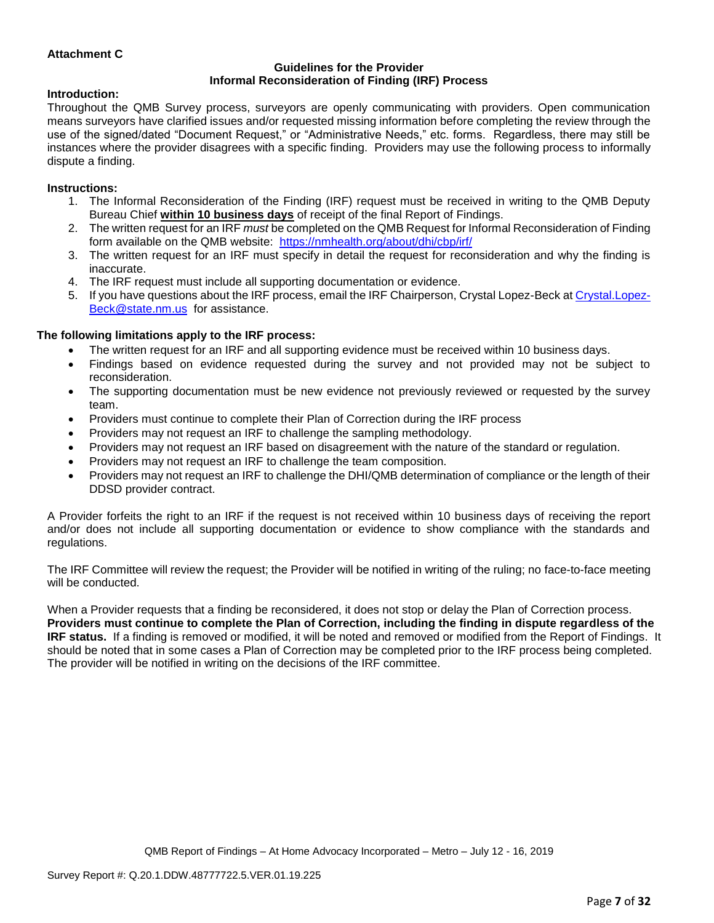# **Attachment C**

#### **Guidelines for the Provider Informal Reconsideration of Finding (IRF) Process**

### **Introduction:**

Throughout the QMB Survey process, surveyors are openly communicating with providers. Open communication means surveyors have clarified issues and/or requested missing information before completing the review through the use of the signed/dated "Document Request," or "Administrative Needs," etc. forms. Regardless, there may still be instances where the provider disagrees with a specific finding. Providers may use the following process to informally dispute a finding.

#### **Instructions:**

- 1. The Informal Reconsideration of the Finding (IRF) request must be received in writing to the QMB Deputy Bureau Chief **within 10 business days** of receipt of the final Report of Findings.
- 2. The written request for an IRF *must* be completed on the QMB Request for Informal Reconsideration of Finding form available on the QMB website: <https://nmhealth.org/about/dhi/cbp/irf/>
- 3. The written request for an IRF must specify in detail the request for reconsideration and why the finding is inaccurate.
- 4. The IRF request must include all supporting documentation or evidence.
- 5. If you have questions about the IRF process, email the IRF Chairperson, Crystal Lopez-Beck a[t Crystal.Lopez-](mailto:Crystal.Lopez-Beck@state.nm.us)[Beck@state.nm.us](mailto:Crystal.Lopez-Beck@state.nm.us) for assistance.

### **The following limitations apply to the IRF process:**

- The written request for an IRF and all supporting evidence must be received within 10 business days.
- Findings based on evidence requested during the survey and not provided may not be subject to reconsideration.
- The supporting documentation must be new evidence not previously reviewed or requested by the survey team.
- Providers must continue to complete their Plan of Correction during the IRF process
- Providers may not request an IRF to challenge the sampling methodology.
- Providers may not request an IRF based on disagreement with the nature of the standard or regulation.
- Providers may not request an IRF to challenge the team composition.
- Providers may not request an IRF to challenge the DHI/QMB determination of compliance or the length of their DDSD provider contract.

A Provider forfeits the right to an IRF if the request is not received within 10 business days of receiving the report and/or does not include all supporting documentation or evidence to show compliance with the standards and regulations.

The IRF Committee will review the request; the Provider will be notified in writing of the ruling; no face-to-face meeting will be conducted.

When a Provider requests that a finding be reconsidered, it does not stop or delay the Plan of Correction process. **Providers must continue to complete the Plan of Correction, including the finding in dispute regardless of the IRF status.** If a finding is removed or modified, it will be noted and removed or modified from the Report of Findings. It should be noted that in some cases a Plan of Correction may be completed prior to the IRF process being completed. The provider will be notified in writing on the decisions of the IRF committee.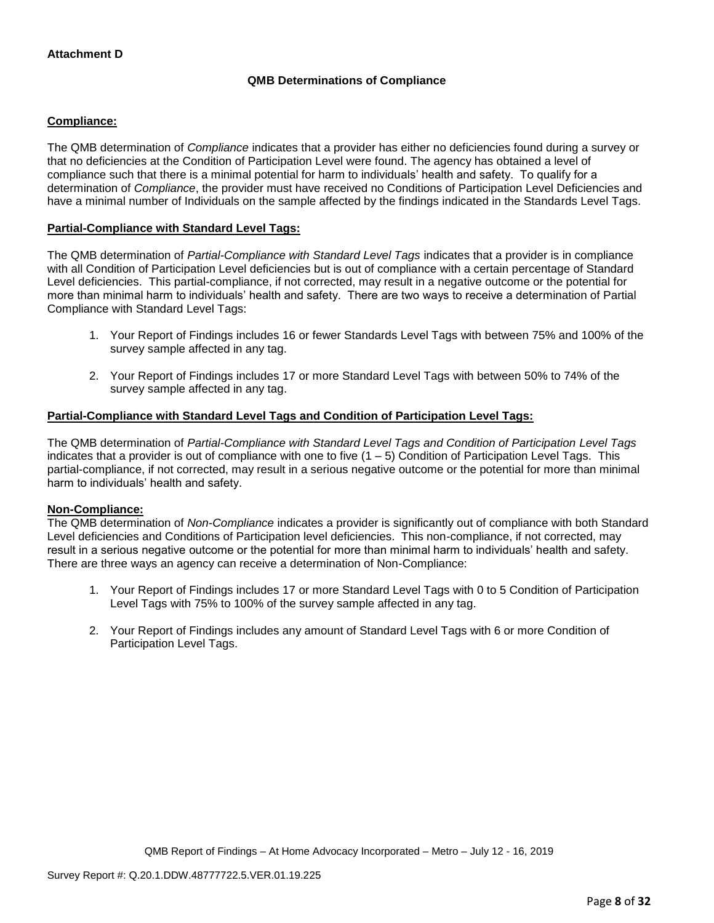# **QMB Determinations of Compliance**

## **Compliance:**

The QMB determination of *Compliance* indicates that a provider has either no deficiencies found during a survey or that no deficiencies at the Condition of Participation Level were found. The agency has obtained a level of compliance such that there is a minimal potential for harm to individuals' health and safety. To qualify for a determination of *Compliance*, the provider must have received no Conditions of Participation Level Deficiencies and have a minimal number of Individuals on the sample affected by the findings indicated in the Standards Level Tags.

## **Partial-Compliance with Standard Level Tags:**

The QMB determination of *Partial-Compliance with Standard Level Tags* indicates that a provider is in compliance with all Condition of Participation Level deficiencies but is out of compliance with a certain percentage of Standard Level deficiencies. This partial-compliance, if not corrected, may result in a negative outcome or the potential for more than minimal harm to individuals' health and safety. There are two ways to receive a determination of Partial Compliance with Standard Level Tags:

- 1. Your Report of Findings includes 16 or fewer Standards Level Tags with between 75% and 100% of the survey sample affected in any tag.
- 2. Your Report of Findings includes 17 or more Standard Level Tags with between 50% to 74% of the survey sample affected in any tag.

# **Partial-Compliance with Standard Level Tags and Condition of Participation Level Tags:**

The QMB determination of *Partial-Compliance with Standard Level Tags and Condition of Participation Level Tags*  indicates that a provider is out of compliance with one to five  $(1 - 5)$  Condition of Participation Level Tags. This partial-compliance, if not corrected, may result in a serious negative outcome or the potential for more than minimal harm to individuals' health and safety.

### **Non-Compliance:**

The QMB determination of *Non-Compliance* indicates a provider is significantly out of compliance with both Standard Level deficiencies and Conditions of Participation level deficiencies. This non-compliance, if not corrected, may result in a serious negative outcome or the potential for more than minimal harm to individuals' health and safety. There are three ways an agency can receive a determination of Non-Compliance:

- 1. Your Report of Findings includes 17 or more Standard Level Tags with 0 to 5 Condition of Participation Level Tags with 75% to 100% of the survey sample affected in any tag.
- 2. Your Report of Findings includes any amount of Standard Level Tags with 6 or more Condition of Participation Level Tags.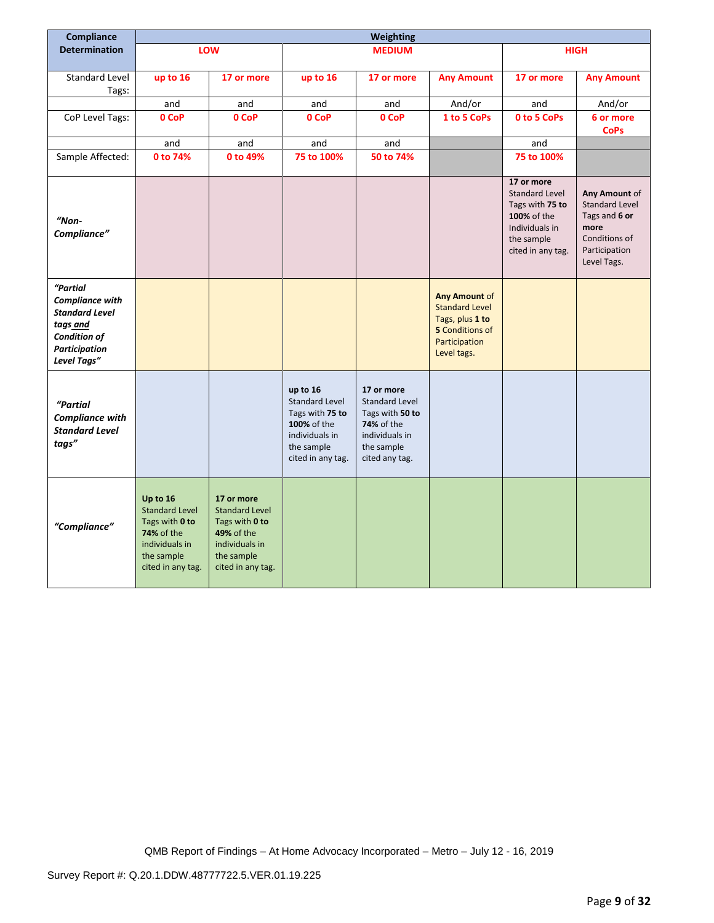| Compliance                                                                                                                            |                                                                                                                               |                                                                                                                                 |                                                                                                                          | Weighting                                                                                                       |                                                                                                                            |                                                                                                                            |                                                                                                           |
|---------------------------------------------------------------------------------------------------------------------------------------|-------------------------------------------------------------------------------------------------------------------------------|---------------------------------------------------------------------------------------------------------------------------------|--------------------------------------------------------------------------------------------------------------------------|-----------------------------------------------------------------------------------------------------------------|----------------------------------------------------------------------------------------------------------------------------|----------------------------------------------------------------------------------------------------------------------------|-----------------------------------------------------------------------------------------------------------|
| <b>Determination</b>                                                                                                                  |                                                                                                                               | LOW                                                                                                                             |                                                                                                                          | <b>MEDIUM</b>                                                                                                   |                                                                                                                            |                                                                                                                            | <b>HIGH</b>                                                                                               |
|                                                                                                                                       |                                                                                                                               |                                                                                                                                 |                                                                                                                          |                                                                                                                 |                                                                                                                            |                                                                                                                            |                                                                                                           |
| Standard Level<br>Tags:                                                                                                               | up to 16                                                                                                                      | 17 or more                                                                                                                      | up to 16                                                                                                                 | 17 or more                                                                                                      | <b>Any Amount</b>                                                                                                          | 17 or more                                                                                                                 | <b>Any Amount</b>                                                                                         |
|                                                                                                                                       | and                                                                                                                           | and                                                                                                                             | and                                                                                                                      | and                                                                                                             | And/or                                                                                                                     | and                                                                                                                        | And/or                                                                                                    |
| CoP Level Tags:                                                                                                                       | 0 CoP                                                                                                                         | 0 CoP                                                                                                                           | 0 CoP                                                                                                                    | 0 CoP                                                                                                           | 1 to 5 CoPs                                                                                                                | 0 to 5 CoPs                                                                                                                | 6 or more<br><b>CoPs</b>                                                                                  |
|                                                                                                                                       | and                                                                                                                           | and                                                                                                                             | and                                                                                                                      | and                                                                                                             |                                                                                                                            | and                                                                                                                        |                                                                                                           |
| Sample Affected:                                                                                                                      | 0 to 74%                                                                                                                      | 0 to 49%                                                                                                                        | 75 to 100%                                                                                                               | 50 to 74%                                                                                                       |                                                                                                                            | 75 to 100%                                                                                                                 |                                                                                                           |
| "Non-<br>Compliance"                                                                                                                  |                                                                                                                               |                                                                                                                                 |                                                                                                                          |                                                                                                                 |                                                                                                                            | 17 or more<br><b>Standard Level</b><br>Tags with 75 to<br>100% of the<br>Individuals in<br>the sample<br>cited in any tag. | Any Amount of<br>Standard Level<br>Tags and 6 or<br>more<br>Conditions of<br>Participation<br>Level Tags. |
| "Partial<br><b>Compliance with</b><br><b>Standard Level</b><br>tags and<br><b>Condition of</b><br><b>Participation</b><br>Level Tags" |                                                                                                                               |                                                                                                                                 |                                                                                                                          |                                                                                                                 | <b>Any Amount of</b><br><b>Standard Level</b><br>Tags, plus 1 to<br><b>5</b> Conditions of<br>Participation<br>Level tags. |                                                                                                                            |                                                                                                           |
| "Partial<br><b>Compliance with</b><br><b>Standard Level</b><br>tags"                                                                  |                                                                                                                               |                                                                                                                                 | up to 16<br><b>Standard Level</b><br>Tags with 75 to<br>100% of the<br>individuals in<br>the sample<br>cited in any tag. | 17 or more<br>Standard Level<br>Tags with 50 to<br>74% of the<br>individuals in<br>the sample<br>cited any tag. |                                                                                                                            |                                                                                                                            |                                                                                                           |
| "Compliance"                                                                                                                          | Up to 16<br><b>Standard Level</b><br>Tags with 0 to<br><b>74%</b> of the<br>individuals in<br>the sample<br>cited in any tag. | 17 or more<br><b>Standard Level</b><br>Tags with 0 to<br><b>49% of the</b><br>individuals in<br>the sample<br>cited in any tag. |                                                                                                                          |                                                                                                                 |                                                                                                                            |                                                                                                                            |                                                                                                           |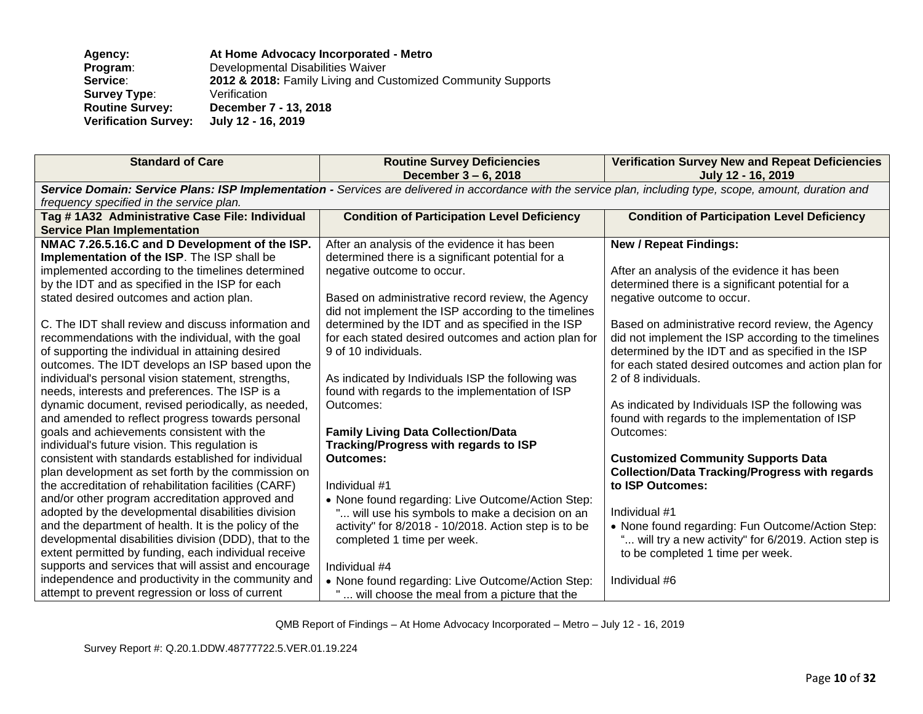| <b>Agency:</b>              | At Home Advocacy Incorporated - Metro                        |
|-----------------------------|--------------------------------------------------------------|
| Program:                    | Developmental Disabilities Waiver                            |
| <b>Service:</b>             | 2012 & 2018: Family Living and Customized Community Supports |
| <b>Survey Type:</b>         | Verification                                                 |
| <b>Routine Survey:</b>      | December 7 - 13, 2018                                        |
| <b>Verification Survey:</b> | July 12 - 16, 2019                                           |

| <b>Standard of Care</b>                                                                                                                                     | <b>Routine Survey Deficiencies</b><br>December 3 – 6, 2018                                                | <b>Verification Survey New and Repeat Deficiencies</b><br>July 12 - 16, 2019 |  |  |
|-------------------------------------------------------------------------------------------------------------------------------------------------------------|-----------------------------------------------------------------------------------------------------------|------------------------------------------------------------------------------|--|--|
| Service Domain: Service Plans: ISP Implementation - Services are delivered in accordance with the service plan, including type, scope, amount, duration and |                                                                                                           |                                                                              |  |  |
| frequency specified in the service plan.                                                                                                                    |                                                                                                           |                                                                              |  |  |
| Tag # 1A32 Administrative Case File: Individual                                                                                                             | <b>Condition of Participation Level Deficiency</b>                                                        | <b>Condition of Participation Level Deficiency</b>                           |  |  |
| <b>Service Plan Implementation</b>                                                                                                                          |                                                                                                           |                                                                              |  |  |
| NMAC 7.26.5.16.C and D Development of the ISP.                                                                                                              | After an analysis of the evidence it has been                                                             | <b>New / Repeat Findings:</b>                                                |  |  |
| Implementation of the ISP. The ISP shall be                                                                                                                 | determined there is a significant potential for a                                                         |                                                                              |  |  |
| implemented according to the timelines determined                                                                                                           | negative outcome to occur.                                                                                | After an analysis of the evidence it has been                                |  |  |
| by the IDT and as specified in the ISP for each                                                                                                             |                                                                                                           | determined there is a significant potential for a                            |  |  |
| stated desired outcomes and action plan.                                                                                                                    | Based on administrative record review, the Agency<br>did not implement the ISP according to the timelines | negative outcome to occur.                                                   |  |  |
| C. The IDT shall review and discuss information and                                                                                                         | determined by the IDT and as specified in the ISP                                                         | Based on administrative record review, the Agency                            |  |  |
| recommendations with the individual, with the goal                                                                                                          | for each stated desired outcomes and action plan for                                                      | did not implement the ISP according to the timelines                         |  |  |
| of supporting the individual in attaining desired                                                                                                           | 9 of 10 individuals.                                                                                      | determined by the IDT and as specified in the ISP                            |  |  |
| outcomes. The IDT develops an ISP based upon the                                                                                                            |                                                                                                           | for each stated desired outcomes and action plan for                         |  |  |
| individual's personal vision statement, strengths,                                                                                                          | As indicated by Individuals ISP the following was                                                         | 2 of 8 individuals.                                                          |  |  |
| needs, interests and preferences. The ISP is a                                                                                                              | found with regards to the implementation of ISP                                                           |                                                                              |  |  |
| dynamic document, revised periodically, as needed,                                                                                                          | Outcomes:                                                                                                 | As indicated by Individuals ISP the following was                            |  |  |
| and amended to reflect progress towards personal                                                                                                            |                                                                                                           | found with regards to the implementation of ISP                              |  |  |
| goals and achievements consistent with the                                                                                                                  | <b>Family Living Data Collection/Data</b>                                                                 | Outcomes:                                                                    |  |  |
| individual's future vision. This regulation is                                                                                                              | <b>Tracking/Progress with regards to ISP</b>                                                              |                                                                              |  |  |
| consistent with standards established for individual                                                                                                        | <b>Outcomes:</b>                                                                                          | <b>Customized Community Supports Data</b>                                    |  |  |
| plan development as set forth by the commission on                                                                                                          |                                                                                                           | <b>Collection/Data Tracking/Progress with regards</b>                        |  |  |
| the accreditation of rehabilitation facilities (CARF)                                                                                                       | Individual #1                                                                                             | to ISP Outcomes:                                                             |  |  |
| and/or other program accreditation approved and                                                                                                             | • None found regarding: Live Outcome/Action Step:                                                         |                                                                              |  |  |
| adopted by the developmental disabilities division                                                                                                          | " will use his symbols to make a decision on an                                                           | Individual #1                                                                |  |  |
| and the department of health. It is the policy of the                                                                                                       | activity" for 8/2018 - 10/2018. Action step is to be                                                      | • None found regarding: Fun Outcome/Action Step:                             |  |  |
| developmental disabilities division (DDD), that to the                                                                                                      | completed 1 time per week.                                                                                | " will try a new activity" for 6/2019. Action step is                        |  |  |
| extent permitted by funding, each individual receive                                                                                                        |                                                                                                           | to be completed 1 time per week.                                             |  |  |
| supports and services that will assist and encourage                                                                                                        | Individual #4                                                                                             |                                                                              |  |  |
| independence and productivity in the community and                                                                                                          | • None found regarding: Live Outcome/Action Step:                                                         | Individual #6                                                                |  |  |
| attempt to prevent regression or loss of current                                                                                                            | will choose the meal from a picture that the                                                              |                                                                              |  |  |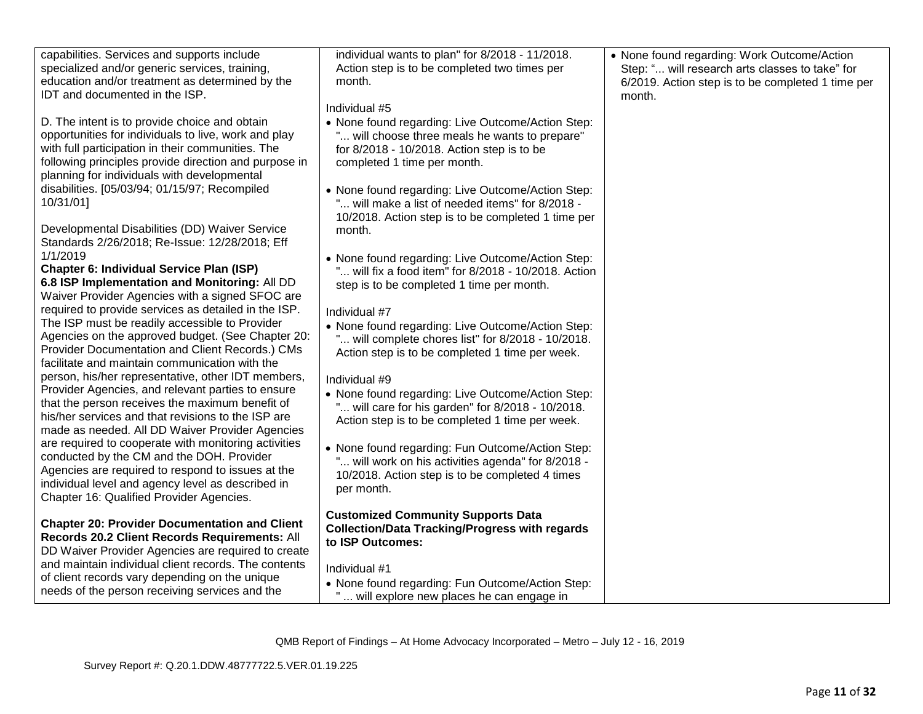| specialized and/or generic services, training,<br>Action step is to be completed two times per<br>Step: " will research arts classes to take" for<br>education and/or treatment as determined by the<br>6/2019. Action step is to be completed 1 time per<br>month.<br>IDT and documented in the ISP.<br>month.<br>Individual #5<br>D. The intent is to provide choice and obtain<br>• None found regarding: Live Outcome/Action Step:<br>opportunities for individuals to live, work and play<br>" will choose three meals he wants to prepare"<br>with full participation in their communities. The<br>for 8/2018 - 10/2018. Action step is to be<br>following principles provide direction and purpose in<br>completed 1 time per month.<br>planning for individuals with developmental<br>disabilities. [05/03/94; 01/15/97; Recompiled<br>• None found regarding: Live Outcome/Action Step: | capabilities. Services and supports include | individual wants to plan" for 8/2018 - 11/2018.  | • None found regarding: Work Outcome/Action |
|--------------------------------------------------------------------------------------------------------------------------------------------------------------------------------------------------------------------------------------------------------------------------------------------------------------------------------------------------------------------------------------------------------------------------------------------------------------------------------------------------------------------------------------------------------------------------------------------------------------------------------------------------------------------------------------------------------------------------------------------------------------------------------------------------------------------------------------------------------------------------------------------------|---------------------------------------------|--------------------------------------------------|---------------------------------------------|
|                                                                                                                                                                                                                                                                                                                                                                                                                                                                                                                                                                                                                                                                                                                                                                                                                                                                                                  |                                             |                                                  |                                             |
|                                                                                                                                                                                                                                                                                                                                                                                                                                                                                                                                                                                                                                                                                                                                                                                                                                                                                                  |                                             |                                                  |                                             |
|                                                                                                                                                                                                                                                                                                                                                                                                                                                                                                                                                                                                                                                                                                                                                                                                                                                                                                  |                                             |                                                  |                                             |
|                                                                                                                                                                                                                                                                                                                                                                                                                                                                                                                                                                                                                                                                                                                                                                                                                                                                                                  |                                             |                                                  |                                             |
|                                                                                                                                                                                                                                                                                                                                                                                                                                                                                                                                                                                                                                                                                                                                                                                                                                                                                                  |                                             |                                                  |                                             |
|                                                                                                                                                                                                                                                                                                                                                                                                                                                                                                                                                                                                                                                                                                                                                                                                                                                                                                  |                                             |                                                  |                                             |
|                                                                                                                                                                                                                                                                                                                                                                                                                                                                                                                                                                                                                                                                                                                                                                                                                                                                                                  |                                             |                                                  |                                             |
|                                                                                                                                                                                                                                                                                                                                                                                                                                                                                                                                                                                                                                                                                                                                                                                                                                                                                                  |                                             |                                                  |                                             |
|                                                                                                                                                                                                                                                                                                                                                                                                                                                                                                                                                                                                                                                                                                                                                                                                                                                                                                  |                                             |                                                  |                                             |
|                                                                                                                                                                                                                                                                                                                                                                                                                                                                                                                                                                                                                                                                                                                                                                                                                                                                                                  | 10/31/01]                                   | " will make a list of needed items" for 8/2018 - |                                             |
| 10/2018. Action step is to be completed 1 time per                                                                                                                                                                                                                                                                                                                                                                                                                                                                                                                                                                                                                                                                                                                                                                                                                                               |                                             |                                                  |                                             |
| Developmental Disabilities (DD) Waiver Service<br>month.                                                                                                                                                                                                                                                                                                                                                                                                                                                                                                                                                                                                                                                                                                                                                                                                                                         |                                             |                                                  |                                             |
| Standards 2/26/2018; Re-Issue: 12/28/2018; Eff<br>1/1/2019                                                                                                                                                                                                                                                                                                                                                                                                                                                                                                                                                                                                                                                                                                                                                                                                                                       |                                             |                                                  |                                             |
| • None found regarding: Live Outcome/Action Step:<br>Chapter 6: Individual Service Plan (ISP)<br>" will fix a food item" for 8/2018 - 10/2018. Action                                                                                                                                                                                                                                                                                                                                                                                                                                                                                                                                                                                                                                                                                                                                            |                                             |                                                  |                                             |
| 6.8 ISP Implementation and Monitoring: All DD<br>step is to be completed 1 time per month.                                                                                                                                                                                                                                                                                                                                                                                                                                                                                                                                                                                                                                                                                                                                                                                                       |                                             |                                                  |                                             |
| Waiver Provider Agencies with a signed SFOC are                                                                                                                                                                                                                                                                                                                                                                                                                                                                                                                                                                                                                                                                                                                                                                                                                                                  |                                             |                                                  |                                             |
| required to provide services as detailed in the ISP.<br>Individual #7                                                                                                                                                                                                                                                                                                                                                                                                                                                                                                                                                                                                                                                                                                                                                                                                                            |                                             |                                                  |                                             |
| The ISP must be readily accessible to Provider<br>• None found regarding: Live Outcome/Action Step:                                                                                                                                                                                                                                                                                                                                                                                                                                                                                                                                                                                                                                                                                                                                                                                              |                                             |                                                  |                                             |
| Agencies on the approved budget. (See Chapter 20:<br>" will complete chores list" for 8/2018 - 10/2018.<br>Provider Documentation and Client Records.) CMs                                                                                                                                                                                                                                                                                                                                                                                                                                                                                                                                                                                                                                                                                                                                       |                                             |                                                  |                                             |
| Action step is to be completed 1 time per week.<br>facilitate and maintain communication with the                                                                                                                                                                                                                                                                                                                                                                                                                                                                                                                                                                                                                                                                                                                                                                                                |                                             |                                                  |                                             |
| person, his/her representative, other IDT members,<br>Individual #9                                                                                                                                                                                                                                                                                                                                                                                                                                                                                                                                                                                                                                                                                                                                                                                                                              |                                             |                                                  |                                             |
| Provider Agencies, and relevant parties to ensure<br>• None found regarding: Live Outcome/Action Step:                                                                                                                                                                                                                                                                                                                                                                                                                                                                                                                                                                                                                                                                                                                                                                                           |                                             |                                                  |                                             |
| that the person receives the maximum benefit of<br>" will care for his garden" for 8/2018 - 10/2018.                                                                                                                                                                                                                                                                                                                                                                                                                                                                                                                                                                                                                                                                                                                                                                                             |                                             |                                                  |                                             |
| his/her services and that revisions to the ISP are<br>Action step is to be completed 1 time per week.                                                                                                                                                                                                                                                                                                                                                                                                                                                                                                                                                                                                                                                                                                                                                                                            |                                             |                                                  |                                             |
| made as needed. All DD Waiver Provider Agencies                                                                                                                                                                                                                                                                                                                                                                                                                                                                                                                                                                                                                                                                                                                                                                                                                                                  |                                             |                                                  |                                             |
| are required to cooperate with monitoring activities<br>• None found regarding: Fun Outcome/Action Step:<br>conducted by the CM and the DOH. Provider                                                                                                                                                                                                                                                                                                                                                                                                                                                                                                                                                                                                                                                                                                                                            |                                             |                                                  |                                             |
| " will work on his activities agenda" for 8/2018 -<br>Agencies are required to respond to issues at the                                                                                                                                                                                                                                                                                                                                                                                                                                                                                                                                                                                                                                                                                                                                                                                          |                                             |                                                  |                                             |
| 10/2018. Action step is to be completed 4 times<br>individual level and agency level as described in                                                                                                                                                                                                                                                                                                                                                                                                                                                                                                                                                                                                                                                                                                                                                                                             |                                             |                                                  |                                             |
| per month.<br>Chapter 16: Qualified Provider Agencies.                                                                                                                                                                                                                                                                                                                                                                                                                                                                                                                                                                                                                                                                                                                                                                                                                                           |                                             |                                                  |                                             |
| <b>Customized Community Supports Data</b>                                                                                                                                                                                                                                                                                                                                                                                                                                                                                                                                                                                                                                                                                                                                                                                                                                                        |                                             |                                                  |                                             |
| <b>Chapter 20: Provider Documentation and Client</b><br><b>Collection/Data Tracking/Progress with regards</b>                                                                                                                                                                                                                                                                                                                                                                                                                                                                                                                                                                                                                                                                                                                                                                                    |                                             |                                                  |                                             |
| Records 20.2 Client Records Requirements: All<br>to ISP Outcomes:<br>DD Waiver Provider Agencies are required to create                                                                                                                                                                                                                                                                                                                                                                                                                                                                                                                                                                                                                                                                                                                                                                          |                                             |                                                  |                                             |
| and maintain individual client records. The contents                                                                                                                                                                                                                                                                                                                                                                                                                                                                                                                                                                                                                                                                                                                                                                                                                                             |                                             |                                                  |                                             |
| Individual #1<br>of client records vary depending on the unique                                                                                                                                                                                                                                                                                                                                                                                                                                                                                                                                                                                                                                                                                                                                                                                                                                  |                                             |                                                  |                                             |
| • None found regarding: Fun Outcome/Action Step:<br>needs of the person receiving services and the<br>will explore new places he can engage in                                                                                                                                                                                                                                                                                                                                                                                                                                                                                                                                                                                                                                                                                                                                                   |                                             |                                                  |                                             |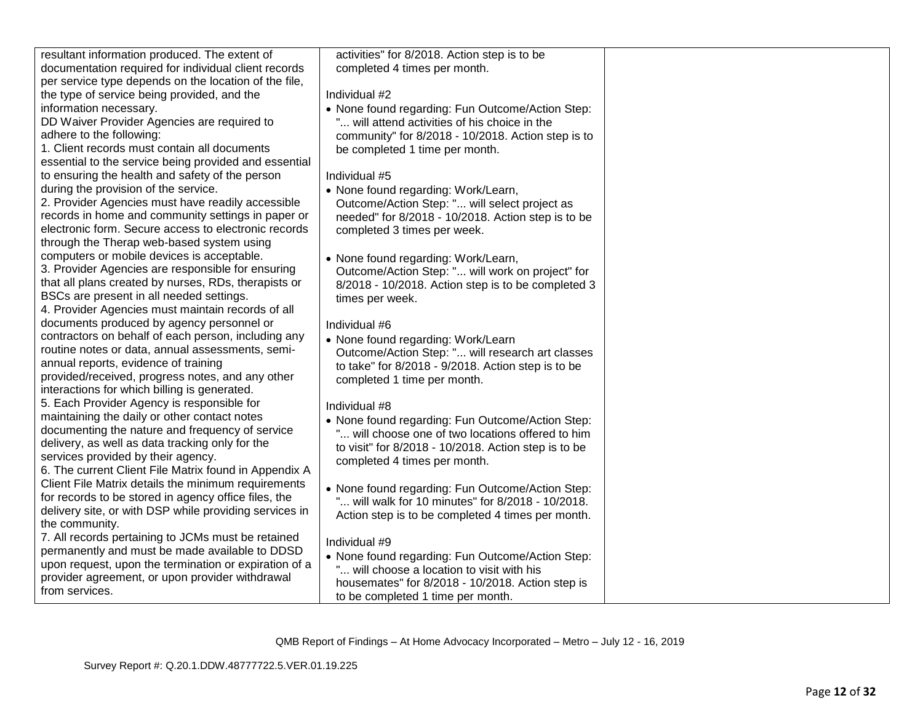| resultant information produced. The extent of          | activities" for 8/2018. Action step is to be         |  |
|--------------------------------------------------------|------------------------------------------------------|--|
| documentation required for individual client records   | completed 4 times per month.                         |  |
|                                                        |                                                      |  |
| per service type depends on the location of the file,  |                                                      |  |
| the type of service being provided, and the            | Individual #2                                        |  |
| information necessary.                                 | • None found regarding: Fun Outcome/Action Step:     |  |
| DD Waiver Provider Agencies are required to            | will attend activities of his choice in the          |  |
| adhere to the following:                               | community" for 8/2018 - 10/2018. Action step is to   |  |
| 1. Client records must contain all documents           | be completed 1 time per month.                       |  |
| essential to the service being provided and essential  |                                                      |  |
| to ensuring the health and safety of the person        | Individual #5                                        |  |
| during the provision of the service.                   | • None found regarding: Work/Learn,                  |  |
| 2. Provider Agencies must have readily accessible      | Outcome/Action Step: " will select project as        |  |
| records in home and community settings in paper or     | needed" for 8/2018 - 10/2018. Action step is to be   |  |
| electronic form. Secure access to electronic records   | completed 3 times per week.                          |  |
| through the Therap web-based system using              |                                                      |  |
| computers or mobile devices is acceptable.             | • None found regarding: Work/Learn,                  |  |
| 3. Provider Agencies are responsible for ensuring      | Outcome/Action Step: " will work on project" for     |  |
| that all plans created by nurses, RDs, therapists or   | 8/2018 - 10/2018. Action step is to be completed 3   |  |
| BSCs are present in all needed settings.               |                                                      |  |
| 4. Provider Agencies must maintain records of all      | times per week.                                      |  |
| documents produced by agency personnel or              | Individual #6                                        |  |
| contractors on behalf of each person, including any    |                                                      |  |
| routine notes or data, annual assessments, semi-       | • None found regarding: Work/Learn                   |  |
| annual reports, evidence of training                   | Outcome/Action Step: " will research art classes     |  |
| provided/received, progress notes, and any other       | to take" for 8/2018 - 9/2018. Action step is to be   |  |
| interactions for which billing is generated.           | completed 1 time per month.                          |  |
|                                                        |                                                      |  |
| 5. Each Provider Agency is responsible for             | Individual #8                                        |  |
| maintaining the daily or other contact notes           | • None found regarding: Fun Outcome/Action Step:     |  |
| documenting the nature and frequency of service        | will choose one of two locations offered to him      |  |
| delivery, as well as data tracking only for the        | to visit" for 8/2018 - 10/2018. Action step is to be |  |
| services provided by their agency.                     | completed 4 times per month.                         |  |
| 6. The current Client File Matrix found in Appendix A  |                                                      |  |
| Client File Matrix details the minimum requirements    | • None found regarding: Fun Outcome/Action Step:     |  |
| for records to be stored in agency office files, the   | " will walk for 10 minutes" for 8/2018 - 10/2018.    |  |
| delivery site, or with DSP while providing services in | Action step is to be completed 4 times per month.    |  |
| the community.                                         |                                                      |  |
| 7. All records pertaining to JCMs must be retained     | Individual #9                                        |  |
| permanently and must be made available to DDSD         | • None found regarding: Fun Outcome/Action Step:     |  |
| upon request, upon the termination or expiration of a  | " will choose a location to visit with his           |  |
| provider agreement, or upon provider withdrawal        | housemates" for 8/2018 - 10/2018. Action step is     |  |
| from services.                                         |                                                      |  |
|                                                        | to be completed 1 time per month.                    |  |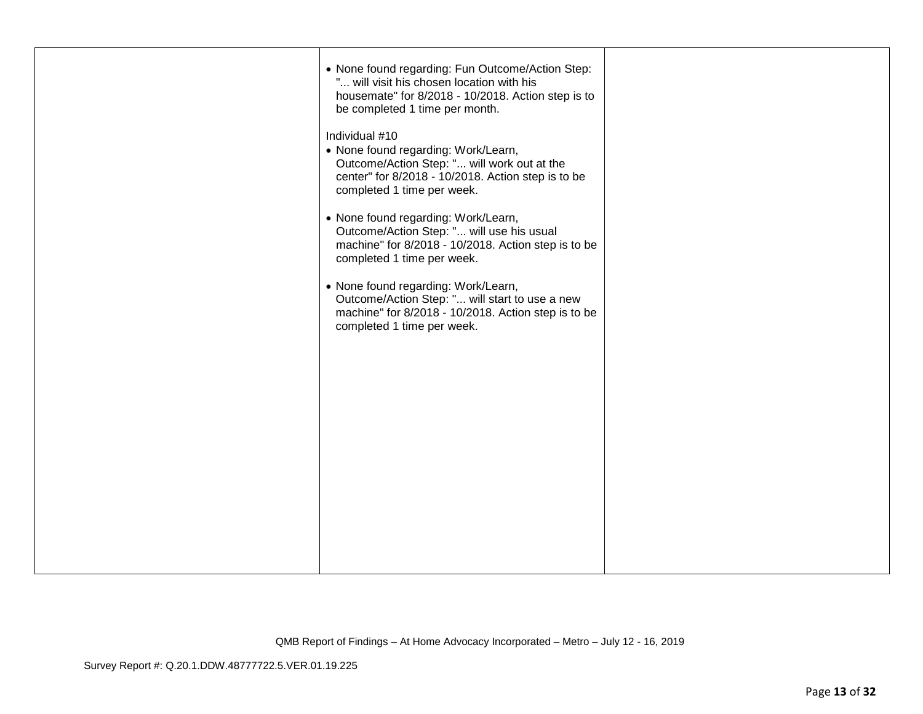| • None found regarding: Fun Outcome/Action Step:<br>" will visit his chosen location with his<br>housemate" for 8/2018 - 10/2018. Action step is to<br>be completed 1 time per month.    |  |
|------------------------------------------------------------------------------------------------------------------------------------------------------------------------------------------|--|
| Individual #10<br>• None found regarding: Work/Learn,<br>Outcome/Action Step: " will work out at the<br>center" for 8/2018 - 10/2018. Action step is to be<br>completed 1 time per week. |  |
| • None found regarding: Work/Learn,<br>Outcome/Action Step: " will use his usual<br>machine" for 8/2018 - 10/2018. Action step is to be<br>completed 1 time per week.                    |  |
| • None found regarding: Work/Learn,<br>Outcome/Action Step: " will start to use a new<br>machine" for 8/2018 - 10/2018. Action step is to be<br>completed 1 time per week.               |  |
|                                                                                                                                                                                          |  |
|                                                                                                                                                                                          |  |
|                                                                                                                                                                                          |  |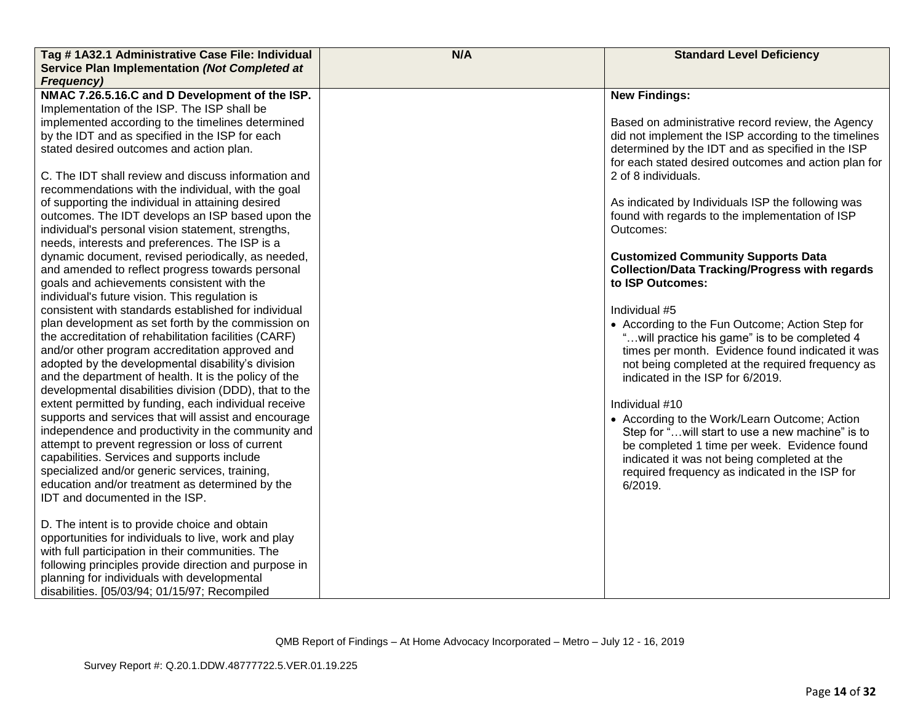| Tag #1A32.1 Administrative Case File: Individual                                                            | N/A | <b>Standard Level Deficiency</b>                                                                          |
|-------------------------------------------------------------------------------------------------------------|-----|-----------------------------------------------------------------------------------------------------------|
| Service Plan Implementation (Not Completed at<br><b>Frequency)</b>                                          |     |                                                                                                           |
| NMAC 7.26.5.16.C and D Development of the ISP.                                                              |     | <b>New Findings:</b>                                                                                      |
| Implementation of the ISP. The ISP shall be                                                                 |     |                                                                                                           |
| implemented according to the timelines determined                                                           |     | Based on administrative record review, the Agency                                                         |
| by the IDT and as specified in the ISP for each                                                             |     | did not implement the ISP according to the timelines                                                      |
| stated desired outcomes and action plan.                                                                    |     | determined by the IDT and as specified in the ISP<br>for each stated desired outcomes and action plan for |
| C. The IDT shall review and discuss information and                                                         |     | 2 of 8 individuals.                                                                                       |
| recommendations with the individual, with the goal                                                          |     |                                                                                                           |
| of supporting the individual in attaining desired                                                           |     | As indicated by Individuals ISP the following was                                                         |
| outcomes. The IDT develops an ISP based upon the                                                            |     | found with regards to the implementation of ISP                                                           |
| individual's personal vision statement, strengths,                                                          |     | Outcomes:                                                                                                 |
| needs, interests and preferences. The ISP is a                                                              |     |                                                                                                           |
| dynamic document, revised periodically, as needed,                                                          |     | <b>Customized Community Supports Data</b>                                                                 |
| and amended to reflect progress towards personal                                                            |     | <b>Collection/Data Tracking/Progress with regards</b>                                                     |
| goals and achievements consistent with the                                                                  |     | to ISP Outcomes:                                                                                          |
| individual's future vision. This regulation is                                                              |     |                                                                                                           |
| consistent with standards established for individual                                                        |     | Individual #5                                                                                             |
| plan development as set forth by the commission on<br>the accreditation of rehabilitation facilities (CARF) |     | • According to the Fun Outcome; Action Step for                                                           |
| and/or other program accreditation approved and                                                             |     | "will practice his game" is to be completed 4<br>times per month. Evidence found indicated it was         |
| adopted by the developmental disability's division                                                          |     | not being completed at the required frequency as                                                          |
| and the department of health. It is the policy of the                                                       |     | indicated in the ISP for 6/2019.                                                                          |
| developmental disabilities division (DDD), that to the                                                      |     |                                                                                                           |
| extent permitted by funding, each individual receive                                                        |     | Individual #10                                                                                            |
| supports and services that will assist and encourage                                                        |     | • According to the Work/Learn Outcome; Action                                                             |
| independence and productivity in the community and                                                          |     | Step for "will start to use a new machine" is to                                                          |
| attempt to prevent regression or loss of current                                                            |     | be completed 1 time per week. Evidence found                                                              |
| capabilities. Services and supports include                                                                 |     | indicated it was not being completed at the                                                               |
| specialized and/or generic services, training,                                                              |     | required frequency as indicated in the ISP for                                                            |
| education and/or treatment as determined by the                                                             |     | 6/2019.                                                                                                   |
| IDT and documented in the ISP.                                                                              |     |                                                                                                           |
| D. The intent is to provide choice and obtain                                                               |     |                                                                                                           |
| opportunities for individuals to live, work and play                                                        |     |                                                                                                           |
| with full participation in their communities. The                                                           |     |                                                                                                           |
| following principles provide direction and purpose in                                                       |     |                                                                                                           |
| planning for individuals with developmental                                                                 |     |                                                                                                           |
| disabilities. [05/03/94; 01/15/97; Recompiled                                                               |     |                                                                                                           |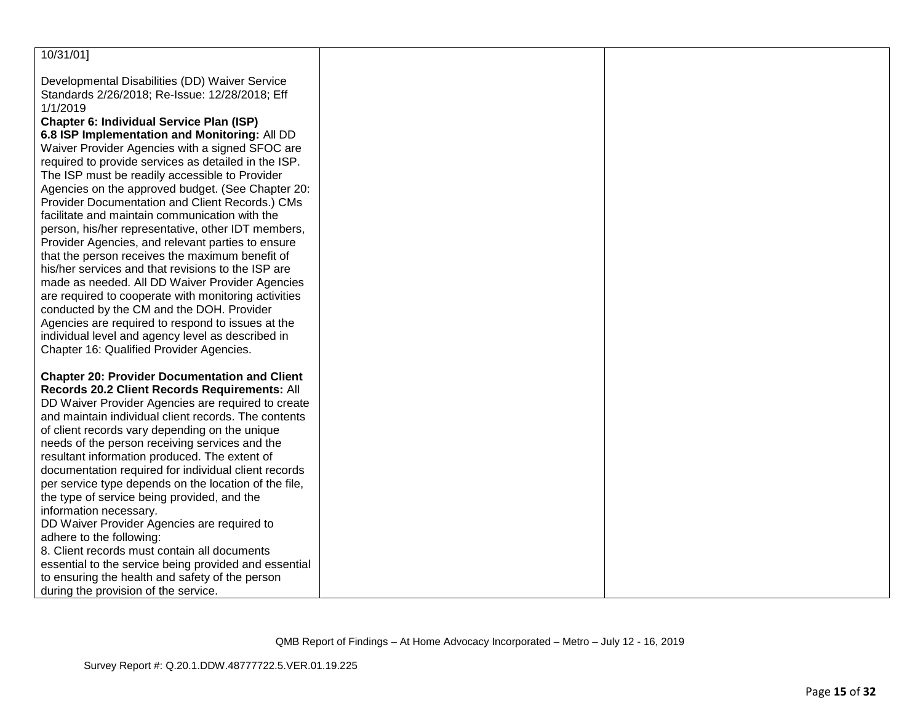| 10/31/01]                                                                                              |  |
|--------------------------------------------------------------------------------------------------------|--|
|                                                                                                        |  |
| Developmental Disabilities (DD) Waiver Service                                                         |  |
| Standards 2/26/2018; Re-Issue: 12/28/2018; Eff                                                         |  |
| 1/1/2019                                                                                               |  |
| <b>Chapter 6: Individual Service Plan (ISP)</b>                                                        |  |
| 6.8 ISP Implementation and Monitoring: All DD                                                          |  |
| Waiver Provider Agencies with a signed SFOC are                                                        |  |
| required to provide services as detailed in the ISP.<br>The ISP must be readily accessible to Provider |  |
| Agencies on the approved budget. (See Chapter 20:                                                      |  |
| Provider Documentation and Client Records.) CMs                                                        |  |
| facilitate and maintain communication with the                                                         |  |
| person, his/her representative, other IDT members,                                                     |  |
| Provider Agencies, and relevant parties to ensure                                                      |  |
| that the person receives the maximum benefit of                                                        |  |
| his/her services and that revisions to the ISP are                                                     |  |
| made as needed. All DD Waiver Provider Agencies                                                        |  |
| are required to cooperate with monitoring activities                                                   |  |
| conducted by the CM and the DOH. Provider                                                              |  |
| Agencies are required to respond to issues at the                                                      |  |
| individual level and agency level as described in                                                      |  |
| Chapter 16: Qualified Provider Agencies.                                                               |  |
| <b>Chapter 20: Provider Documentation and Client</b>                                                   |  |
| Records 20.2 Client Records Requirements: All                                                          |  |
| DD Waiver Provider Agencies are required to create                                                     |  |
| and maintain individual client records. The contents                                                   |  |
| of client records vary depending on the unique                                                         |  |
| needs of the person receiving services and the                                                         |  |
| resultant information produced. The extent of                                                          |  |
| documentation required for individual client records                                                   |  |
| per service type depends on the location of the file,                                                  |  |
| the type of service being provided, and the                                                            |  |
| information necessary.                                                                                 |  |
| DD Waiver Provider Agencies are required to<br>adhere to the following:                                |  |
| 8. Client records must contain all documents                                                           |  |
| essential to the service being provided and essential                                                  |  |
| to ensuring the health and safety of the person                                                        |  |
| during the provision of the service.                                                                   |  |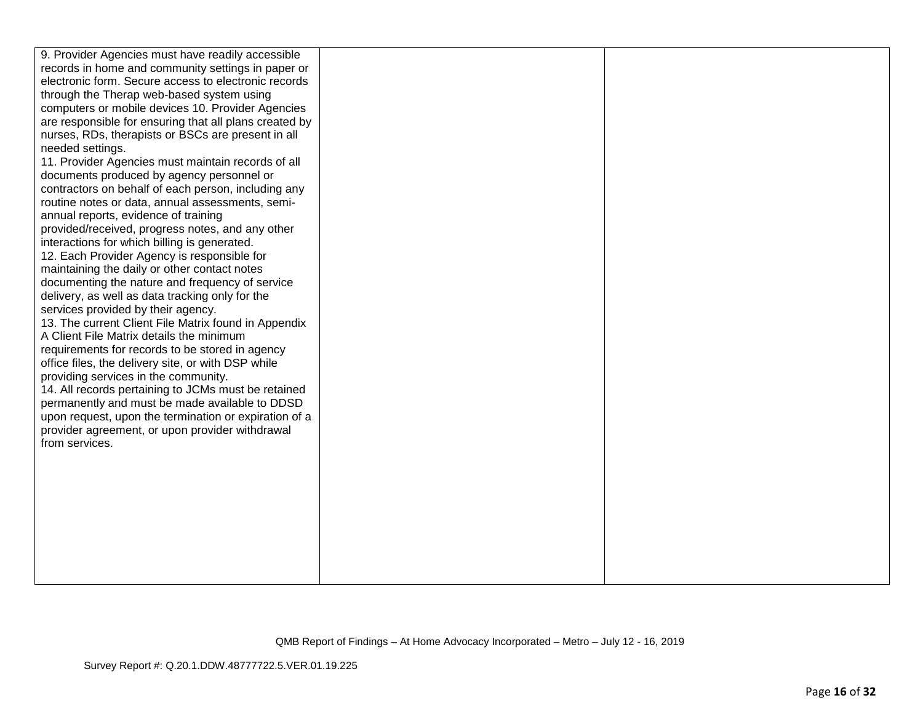| 9. Provider Agencies must have readily accessible                 |  |
|-------------------------------------------------------------------|--|
| records in home and community settings in paper or                |  |
| electronic form. Secure access to electronic records              |  |
| through the Therap web-based system using                         |  |
| computers or mobile devices 10. Provider Agencies                 |  |
| are responsible for ensuring that all plans created by            |  |
| nurses, RDs, therapists or BSCs are present in all                |  |
| needed settings.                                                  |  |
| 11. Provider Agencies must maintain records of all                |  |
| documents produced by agency personnel or                         |  |
| contractors on behalf of each person, including any               |  |
| routine notes or data, annual assessments, semi-                  |  |
| annual reports, evidence of training                              |  |
| provided/received, progress notes, and any other                  |  |
| interactions for which billing is generated.                      |  |
| 12. Each Provider Agency is responsible for                       |  |
| maintaining the daily or other contact notes                      |  |
| documenting the nature and frequency of service                   |  |
| delivery, as well as data tracking only for the                   |  |
| services provided by their agency.                                |  |
| 13. The current Client File Matrix found in Appendix              |  |
| A Client File Matrix details the minimum                          |  |
| requirements for records to be stored in agency                   |  |
| office files, the delivery site, or with DSP while                |  |
| providing services in the community.                              |  |
| 14. All records pertaining to JCMs must be retained               |  |
| permanently and must be made available to DDSD                    |  |
| upon request, upon the termination or expiration of a             |  |
| provider agreement, or upon provider withdrawal<br>from services. |  |
|                                                                   |  |
|                                                                   |  |
|                                                                   |  |
|                                                                   |  |
|                                                                   |  |
|                                                                   |  |
|                                                                   |  |
|                                                                   |  |
|                                                                   |  |
|                                                                   |  |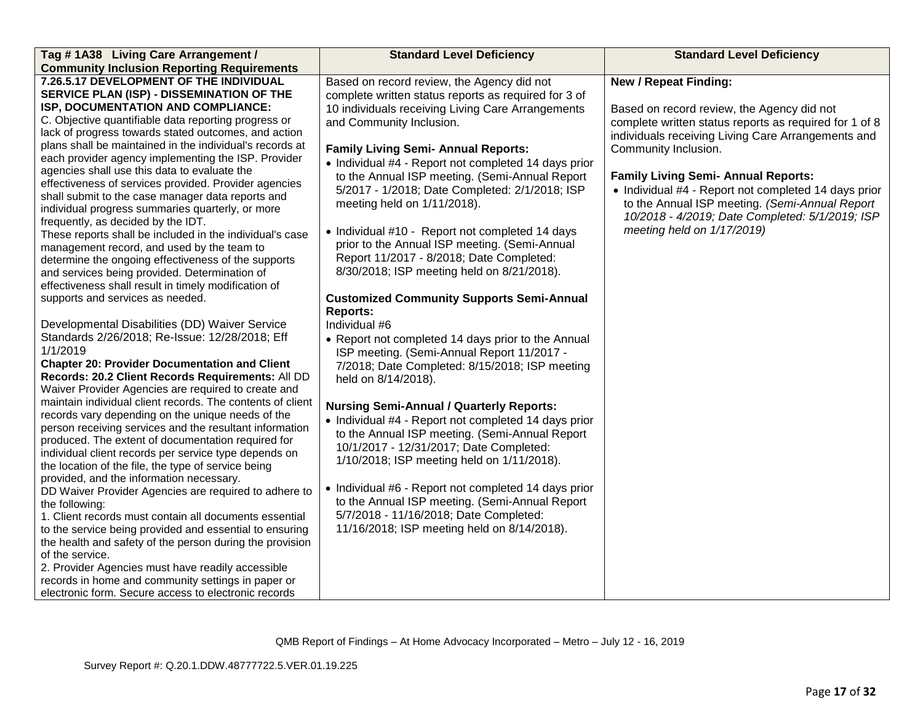| Tag #1A38 Living Care Arrangement /                                                                                                                                                                                                                                                                                                                                                                                                                                                                                                                                                                                                                                                                                                                                                                                                                                                                                                                                                                                                                                                                                                                              | <b>Standard Level Deficiency</b>                                                                                                                                                                                                                                                                                                                                                                                                                                                                                                                                                                                                                                                                                                                                                                                                                                                                | <b>Standard Level Deficiency</b>                                                                                                                                                                                                                                                                                                                                                                                                                            |
|------------------------------------------------------------------------------------------------------------------------------------------------------------------------------------------------------------------------------------------------------------------------------------------------------------------------------------------------------------------------------------------------------------------------------------------------------------------------------------------------------------------------------------------------------------------------------------------------------------------------------------------------------------------------------------------------------------------------------------------------------------------------------------------------------------------------------------------------------------------------------------------------------------------------------------------------------------------------------------------------------------------------------------------------------------------------------------------------------------------------------------------------------------------|-------------------------------------------------------------------------------------------------------------------------------------------------------------------------------------------------------------------------------------------------------------------------------------------------------------------------------------------------------------------------------------------------------------------------------------------------------------------------------------------------------------------------------------------------------------------------------------------------------------------------------------------------------------------------------------------------------------------------------------------------------------------------------------------------------------------------------------------------------------------------------------------------|-------------------------------------------------------------------------------------------------------------------------------------------------------------------------------------------------------------------------------------------------------------------------------------------------------------------------------------------------------------------------------------------------------------------------------------------------------------|
| <b>Community Inclusion Reporting Requirements</b>                                                                                                                                                                                                                                                                                                                                                                                                                                                                                                                                                                                                                                                                                                                                                                                                                                                                                                                                                                                                                                                                                                                |                                                                                                                                                                                                                                                                                                                                                                                                                                                                                                                                                                                                                                                                                                                                                                                                                                                                                                 |                                                                                                                                                                                                                                                                                                                                                                                                                                                             |
| 7.26.5.17 DEVELOPMENT OF THE INDIVIDUAL<br>SERVICE PLAN (ISP) - DISSEMINATION OF THE<br>ISP, DOCUMENTATION AND COMPLIANCE:<br>C. Objective quantifiable data reporting progress or<br>lack of progress towards stated outcomes, and action<br>plans shall be maintained in the individual's records at<br>each provider agency implementing the ISP. Provider<br>agencies shall use this data to evaluate the<br>effectiveness of services provided. Provider agencies<br>shall submit to the case manager data reports and<br>individual progress summaries quarterly, or more<br>frequently, as decided by the IDT.<br>These reports shall be included in the individual's case<br>management record, and used by the team to<br>determine the ongoing effectiveness of the supports<br>and services being provided. Determination of<br>effectiveness shall result in timely modification of<br>supports and services as needed.<br>Developmental Disabilities (DD) Waiver Service<br>Standards 2/26/2018; Re-Issue: 12/28/2018; Eff<br>1/1/2019<br><b>Chapter 20: Provider Documentation and Client</b><br>Records: 20.2 Client Records Requirements: All DD | Based on record review, the Agency did not<br>complete written status reports as required for 3 of<br>10 individuals receiving Living Care Arrangements<br>and Community Inclusion.<br><b>Family Living Semi- Annual Reports:</b><br>• Individual #4 - Report not completed 14 days prior<br>to the Annual ISP meeting. (Semi-Annual Report<br>5/2017 - 1/2018; Date Completed: 2/1/2018; ISP<br>meeting held on 1/11/2018).<br>• Individual #10 - Report not completed 14 days<br>prior to the Annual ISP meeting. (Semi-Annual<br>Report 11/2017 - 8/2018; Date Completed:<br>8/30/2018; ISP meeting held on 8/21/2018).<br><b>Customized Community Supports Semi-Annual</b><br><b>Reports:</b><br>Individual #6<br>• Report not completed 14 days prior to the Annual<br>ISP meeting. (Semi-Annual Report 11/2017 -<br>7/2018; Date Completed: 8/15/2018; ISP meeting<br>held on 8/14/2018). | <b>New / Repeat Finding:</b><br>Based on record review, the Agency did not<br>complete written status reports as required for 1 of 8<br>individuals receiving Living Care Arrangements and<br>Community Inclusion.<br><b>Family Living Semi- Annual Reports:</b><br>• Individual #4 - Report not completed 14 days prior<br>to the Annual ISP meeting. (Semi-Annual Report<br>10/2018 - 4/2019; Date Completed: 5/1/2019; ISP<br>meeting held on 1/17/2019) |
| Waiver Provider Agencies are required to create and<br>maintain individual client records. The contents of client<br>records vary depending on the unique needs of the<br>person receiving services and the resultant information<br>produced. The extent of documentation required for<br>individual client records per service type depends on<br>the location of the file, the type of service being<br>provided, and the information necessary.<br>DD Waiver Provider Agencies are required to adhere to<br>the following:<br>1. Client records must contain all documents essential<br>to the service being provided and essential to ensuring<br>the health and safety of the person during the provision<br>of the service.<br>2. Provider Agencies must have readily accessible<br>records in home and community settings in paper or<br>electronic form. Secure access to electronic records                                                                                                                                                                                                                                                            | <b>Nursing Semi-Annual / Quarterly Reports:</b><br>• Individual #4 - Report not completed 14 days prior<br>to the Annual ISP meeting. (Semi-Annual Report<br>10/1/2017 - 12/31/2017; Date Completed:<br>1/10/2018; ISP meeting held on 1/11/2018).<br>• Individual #6 - Report not completed 14 days prior<br>to the Annual ISP meeting. (Semi-Annual Report<br>5/7/2018 - 11/16/2018; Date Completed:<br>11/16/2018; ISP meeting held on 8/14/2018).                                                                                                                                                                                                                                                                                                                                                                                                                                           |                                                                                                                                                                                                                                                                                                                                                                                                                                                             |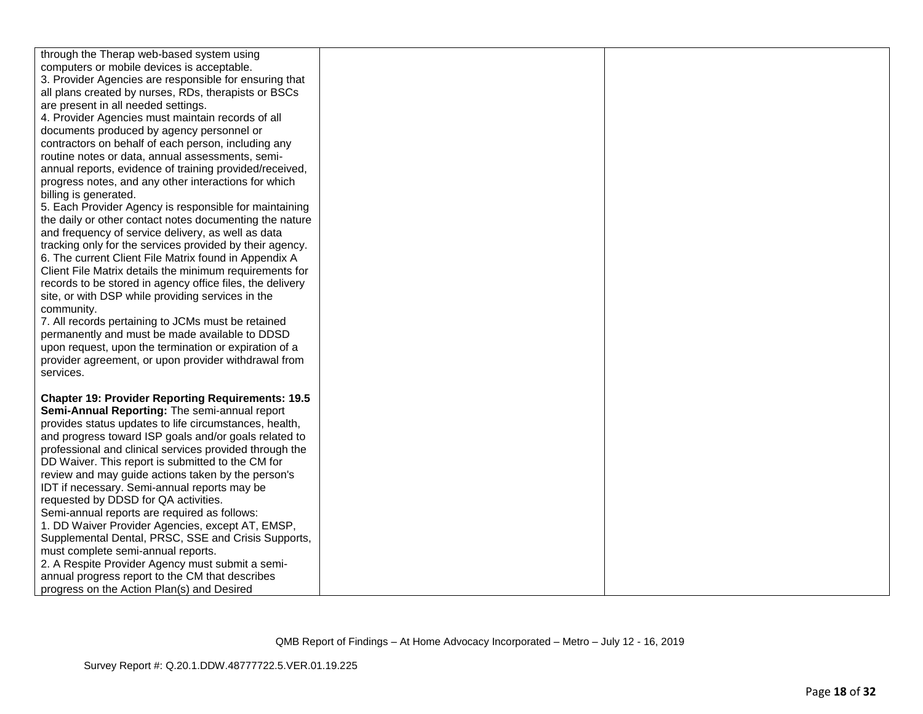| through the Therap web-based system using<br>computers or mobile devices is acceptable.<br>3. Provider Agencies are responsible for ensuring that<br>all plans created by nurses, RDs, therapists or BSCs<br>are present in all needed settings.<br>4. Provider Agencies must maintain records of all<br>documents produced by agency personnel or<br>contractors on behalf of each person, including any<br>routine notes or data, annual assessments, semi-<br>annual reports, evidence of training provided/received,<br>progress notes, and any other interactions for which<br>billing is generated.<br>5. Each Provider Agency is responsible for maintaining<br>the daily or other contact notes documenting the nature<br>and frequency of service delivery, as well as data<br>tracking only for the services provided by their agency.<br>6. The current Client File Matrix found in Appendix A<br>Client File Matrix details the minimum requirements for<br>records to be stored in agency office files, the delivery<br>site, or with DSP while providing services in the<br>community.<br>7. All records pertaining to JCMs must be retained<br>permanently and must be made available to DDSD<br>upon request, upon the termination or expiration of a<br>provider agreement, or upon provider withdrawal from |  |
|-------------------------------------------------------------------------------------------------------------------------------------------------------------------------------------------------------------------------------------------------------------------------------------------------------------------------------------------------------------------------------------------------------------------------------------------------------------------------------------------------------------------------------------------------------------------------------------------------------------------------------------------------------------------------------------------------------------------------------------------------------------------------------------------------------------------------------------------------------------------------------------------------------------------------------------------------------------------------------------------------------------------------------------------------------------------------------------------------------------------------------------------------------------------------------------------------------------------------------------------------------------------------------------------------------------------------------|--|
| services.<br><b>Chapter 19: Provider Reporting Requirements: 19.5</b><br>Semi-Annual Reporting: The semi-annual report<br>provides status updates to life circumstances, health,<br>and progress toward ISP goals and/or goals related to<br>professional and clinical services provided through the<br>DD Waiver. This report is submitted to the CM for<br>review and may guide actions taken by the person's<br>IDT if necessary. Semi-annual reports may be<br>requested by DDSD for QA activities.<br>Semi-annual reports are required as follows:<br>1. DD Waiver Provider Agencies, except AT, EMSP,<br>Supplemental Dental, PRSC, SSE and Crisis Supports,<br>must complete semi-annual reports.<br>2. A Respite Provider Agency must submit a semi-<br>annual progress report to the CM that describes<br>progress on the Action Plan(s) and Desired                                                                                                                                                                                                                                                                                                                                                                                                                                                                 |  |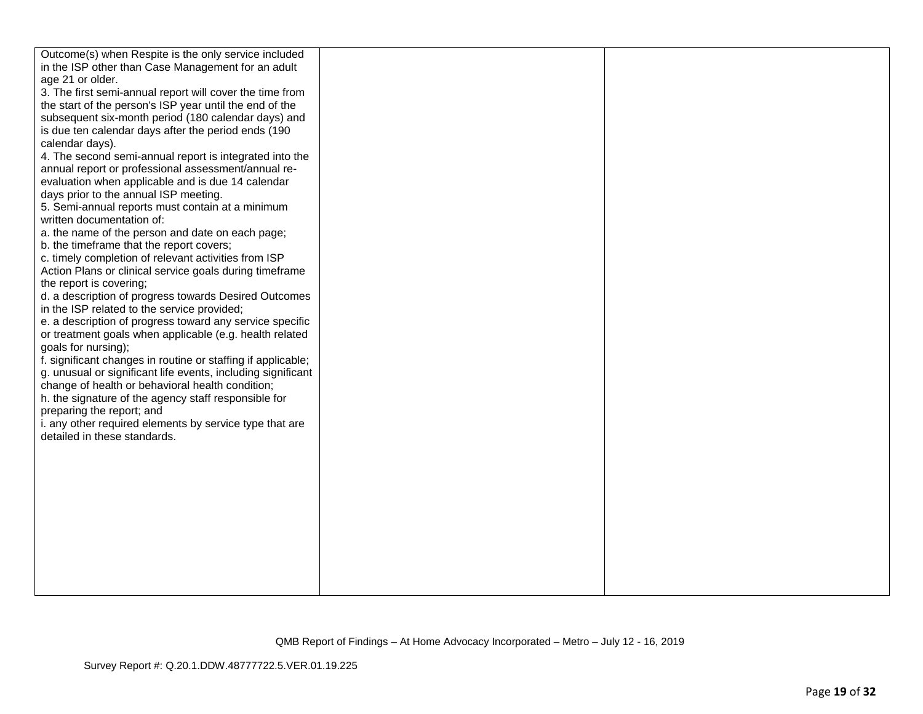| Outcome(s) when Respite is the only service included         |  |
|--------------------------------------------------------------|--|
| in the ISP other than Case Management for an adult           |  |
| age 21 or older.                                             |  |
| 3. The first semi-annual report will cover the time from     |  |
| the start of the person's ISP year until the end of the      |  |
|                                                              |  |
| subsequent six-month period (180 calendar days) and          |  |
| is due ten calendar days after the period ends (190          |  |
| calendar days).                                              |  |
| 4. The second semi-annual report is integrated into the      |  |
| annual report or professional assessment/annual re-          |  |
| evaluation when applicable and is due 14 calendar            |  |
| days prior to the annual ISP meeting.                        |  |
| 5. Semi-annual reports must contain at a minimum             |  |
| written documentation of:                                    |  |
| a. the name of the person and date on each page;             |  |
| b. the timeframe that the report covers;                     |  |
| c. timely completion of relevant activities from ISP         |  |
| Action Plans or clinical service goals during timeframe      |  |
| the report is covering;                                      |  |
| d. a description of progress towards Desired Outcomes        |  |
| in the ISP related to the service provided;                  |  |
| e. a description of progress toward any service specific     |  |
| or treatment goals when applicable (e.g. health related      |  |
| goals for nursing);                                          |  |
| f. significant changes in routine or staffing if applicable; |  |
| g. unusual or significant life events, including significant |  |
| change of health or behavioral health condition;             |  |
| h. the signature of the agency staff responsible for         |  |
| preparing the report; and                                    |  |
| i. any other required elements by service type that are      |  |
| detailed in these standards.                                 |  |
|                                                              |  |
|                                                              |  |
|                                                              |  |
|                                                              |  |
|                                                              |  |
|                                                              |  |
|                                                              |  |
|                                                              |  |
|                                                              |  |
|                                                              |  |
|                                                              |  |
|                                                              |  |
|                                                              |  |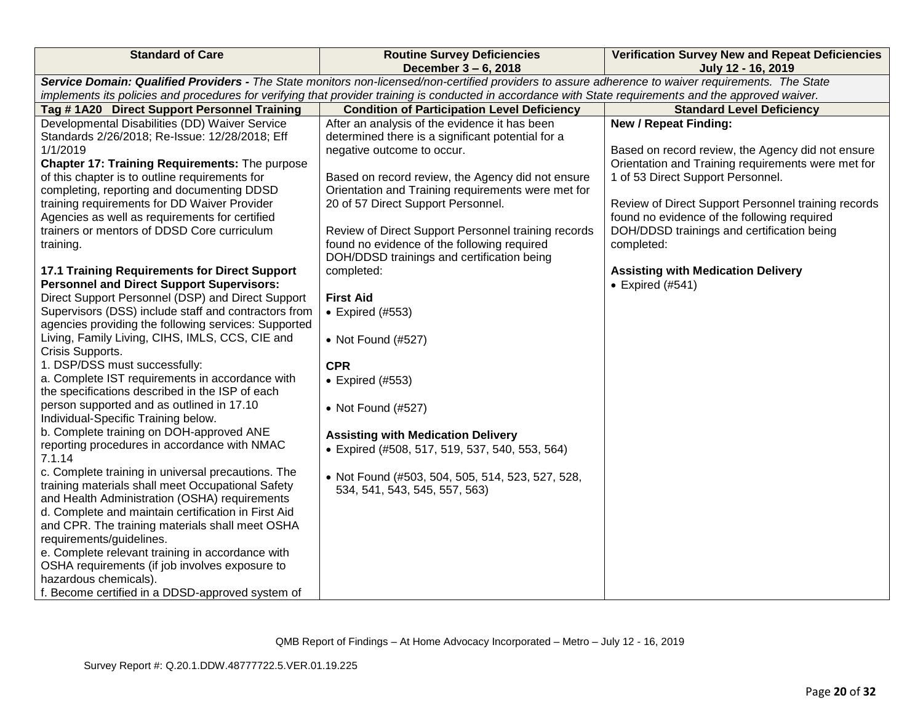| <b>Standard of Care</b>                                                                                                                                 | <b>Routine Survey Deficiencies</b><br>December 3 - 6, 2018 | <b>Verification Survey New and Repeat Deficiencies</b><br>July 12 - 16, 2019 |  |
|---------------------------------------------------------------------------------------------------------------------------------------------------------|------------------------------------------------------------|------------------------------------------------------------------------------|--|
| Service Domain: Qualified Providers - The State monitors non-licensed/non-certified providers to assure adherence to waiver requirements. The State     |                                                            |                                                                              |  |
| implements its policies and procedures for verifying that provider training is conducted in accordance with State requirements and the approved waiver. |                                                            |                                                                              |  |
| Tag #1A20 Direct Support Personnel Training                                                                                                             | <b>Condition of Participation Level Deficiency</b>         | <b>Standard Level Deficiency</b>                                             |  |
| Developmental Disabilities (DD) Waiver Service                                                                                                          | After an analysis of the evidence it has been              | <b>New / Repeat Finding:</b>                                                 |  |
| Standards 2/26/2018; Re-Issue: 12/28/2018; Eff                                                                                                          | determined there is a significant potential for a          |                                                                              |  |
| 1/1/2019                                                                                                                                                | negative outcome to occur.                                 | Based on record review, the Agency did not ensure                            |  |
| Chapter 17: Training Requirements: The purpose                                                                                                          |                                                            | Orientation and Training requirements were met for                           |  |
| of this chapter is to outline requirements for                                                                                                          | Based on record review, the Agency did not ensure          | 1 of 53 Direct Support Personnel.                                            |  |
| completing, reporting and documenting DDSD                                                                                                              | Orientation and Training requirements were met for         |                                                                              |  |
| training requirements for DD Waiver Provider                                                                                                            | 20 of 57 Direct Support Personnel.                         | Review of Direct Support Personnel training records                          |  |
| Agencies as well as requirements for certified                                                                                                          |                                                            | found no evidence of the following required                                  |  |
| trainers or mentors of DDSD Core curriculum                                                                                                             | Review of Direct Support Personnel training records        | DOH/DDSD trainings and certification being                                   |  |
| training.                                                                                                                                               | found no evidence of the following required                | completed:                                                                   |  |
|                                                                                                                                                         | DOH/DDSD trainings and certification being                 |                                                                              |  |
| 17.1 Training Requirements for Direct Support                                                                                                           | completed:                                                 | <b>Assisting with Medication Delivery</b>                                    |  |
| <b>Personnel and Direct Support Supervisors:</b>                                                                                                        |                                                            | $\bullet$ Expired (#541)                                                     |  |
| Direct Support Personnel (DSP) and Direct Support                                                                                                       | <b>First Aid</b>                                           |                                                                              |  |
| Supervisors (DSS) include staff and contractors from                                                                                                    | $\bullet$ Expired (#553)                                   |                                                                              |  |
| agencies providing the following services: Supported                                                                                                    |                                                            |                                                                              |  |
| Living, Family Living, CIHS, IMLS, CCS, CIE and                                                                                                         | • Not Found (#527)                                         |                                                                              |  |
| Crisis Supports.                                                                                                                                        |                                                            |                                                                              |  |
| 1. DSP/DSS must successfully:                                                                                                                           | <b>CPR</b>                                                 |                                                                              |  |
| a. Complete IST requirements in accordance with                                                                                                         |                                                            |                                                                              |  |
| the specifications described in the ISP of each                                                                                                         | • Expired (#553)                                           |                                                                              |  |
| person supported and as outlined in 17.10                                                                                                               |                                                            |                                                                              |  |
| Individual-Specific Training below.                                                                                                                     | • Not Found $(\#527)$                                      |                                                                              |  |
| b. Complete training on DOH-approved ANE                                                                                                                | <b>Assisting with Medication Delivery</b>                  |                                                                              |  |
| reporting procedures in accordance with NMAC                                                                                                            | • Expired (#508, 517, 519, 537, 540, 553, 564)             |                                                                              |  |
| 7.1.14                                                                                                                                                  |                                                            |                                                                              |  |
| c. Complete training in universal precautions. The                                                                                                      | • Not Found (#503, 504, 505, 514, 523, 527, 528,           |                                                                              |  |
| training materials shall meet Occupational Safety                                                                                                       | 534, 541, 543, 545, 557, 563)                              |                                                                              |  |
| and Health Administration (OSHA) requirements                                                                                                           |                                                            |                                                                              |  |
| d. Complete and maintain certification in First Aid                                                                                                     |                                                            |                                                                              |  |
| and CPR. The training materials shall meet OSHA                                                                                                         |                                                            |                                                                              |  |
| requirements/guidelines.                                                                                                                                |                                                            |                                                                              |  |
| e. Complete relevant training in accordance with                                                                                                        |                                                            |                                                                              |  |
| OSHA requirements (if job involves exposure to                                                                                                          |                                                            |                                                                              |  |
| hazardous chemicals).                                                                                                                                   |                                                            |                                                                              |  |
| f. Become certified in a DDSD-approved system of                                                                                                        |                                                            |                                                                              |  |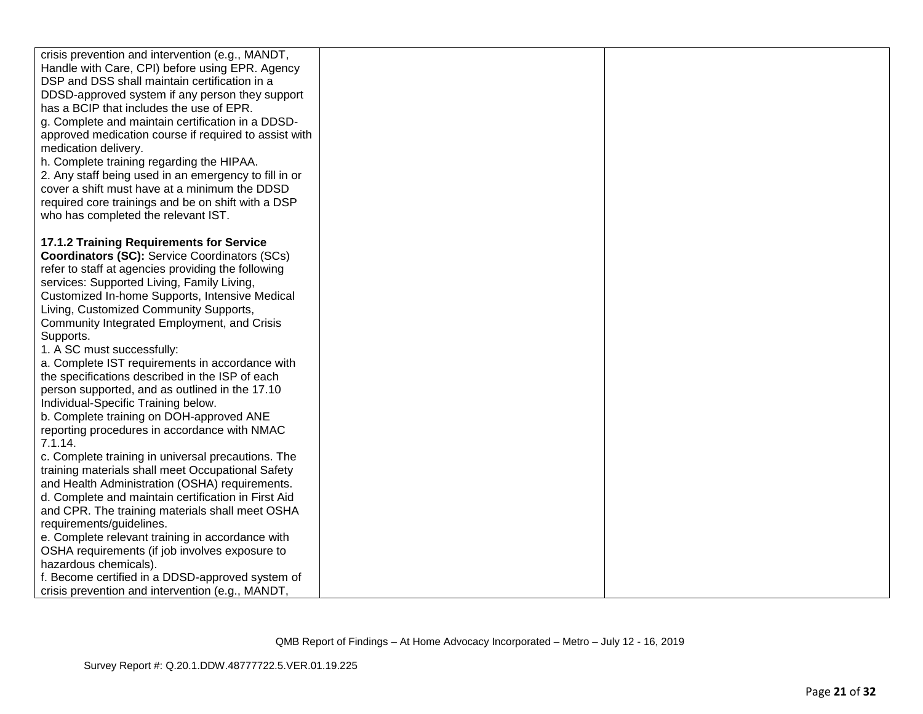| crisis prevention and intervention (e.g., MANDT,<br>Handle with Care, CPI) before using EPR. Agency<br>DSP and DSS shall maintain certification in a<br>DDSD-approved system if any person they support<br>has a BCIP that includes the use of EPR.<br>g. Complete and maintain certification in a DDSD-<br>approved medication course if required to assist with<br>medication delivery.<br>h. Complete training regarding the HIPAA.<br>2. Any staff being used in an emergency to fill in or<br>cover a shift must have at a minimum the DDSD<br>required core trainings and be on shift with a DSP<br>who has completed the relevant IST.                                                    |  |
|--------------------------------------------------------------------------------------------------------------------------------------------------------------------------------------------------------------------------------------------------------------------------------------------------------------------------------------------------------------------------------------------------------------------------------------------------------------------------------------------------------------------------------------------------------------------------------------------------------------------------------------------------------------------------------------------------|--|
| 17.1.2 Training Requirements for Service<br><b>Coordinators (SC): Service Coordinators (SCs)</b><br>refer to staff at agencies providing the following<br>services: Supported Living, Family Living,<br>Customized In-home Supports, Intensive Medical<br>Living, Customized Community Supports,<br>Community Integrated Employment, and Crisis<br>Supports.<br>1. A SC must successfully:<br>a. Complete IST requirements in accordance with<br>the specifications described in the ISP of each<br>person supported, and as outlined in the 17.10<br>Individual-Specific Training below.<br>b. Complete training on DOH-approved ANE<br>reporting procedures in accordance with NMAC<br>7.1.14. |  |
| c. Complete training in universal precautions. The<br>training materials shall meet Occupational Safety<br>and Health Administration (OSHA) requirements.<br>d. Complete and maintain certification in First Aid<br>and CPR. The training materials shall meet OSHA<br>requirements/guidelines.<br>e. Complete relevant training in accordance with<br>OSHA requirements (if job involves exposure to<br>hazardous chemicals).<br>f. Become certified in a DDSD-approved system of<br>crisis prevention and intervention (e.g., MANDT,                                                                                                                                                           |  |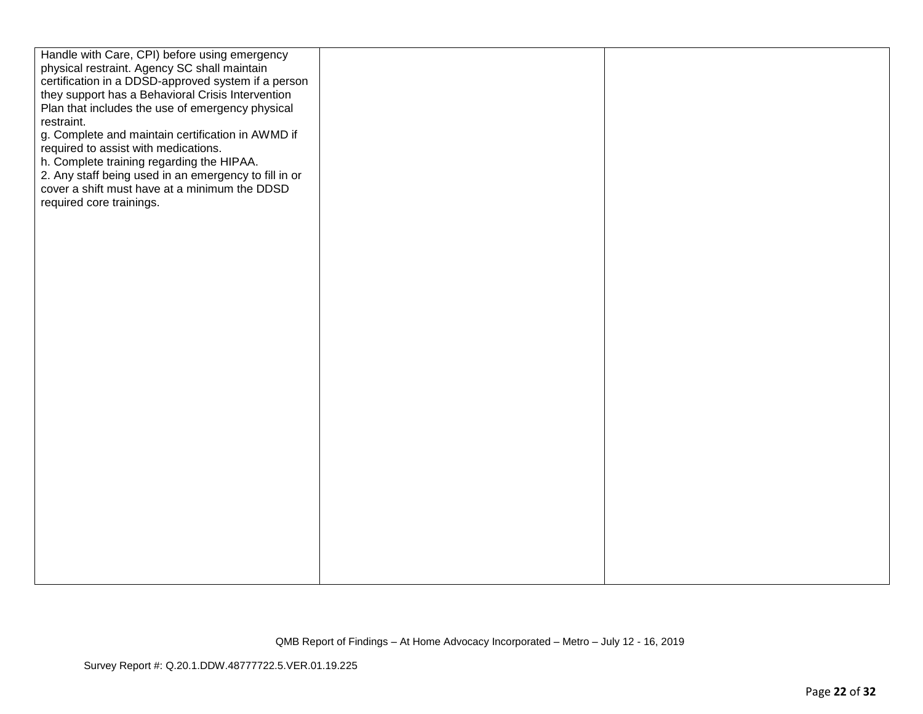| Handle with Care, CPI) before using emergency<br>physical restraint. Agency SC shall maintain<br>certification in a DDSD-approved system if a person<br>they support has a Behavioral Crisis Intervention<br>Plan that includes the use of emergency physical<br>restraint.<br>g. Complete and maintain certification in AWMD if<br>required to assist with medications.<br>h. Complete training regarding the HIPAA.<br>2. Any staff being used in an emergency to fill in or<br>cover a shift must have at a minimum the DDSD<br>required core trainings. |  |
|-------------------------------------------------------------------------------------------------------------------------------------------------------------------------------------------------------------------------------------------------------------------------------------------------------------------------------------------------------------------------------------------------------------------------------------------------------------------------------------------------------------------------------------------------------------|--|
|                                                                                                                                                                                                                                                                                                                                                                                                                                                                                                                                                             |  |
|                                                                                                                                                                                                                                                                                                                                                                                                                                                                                                                                                             |  |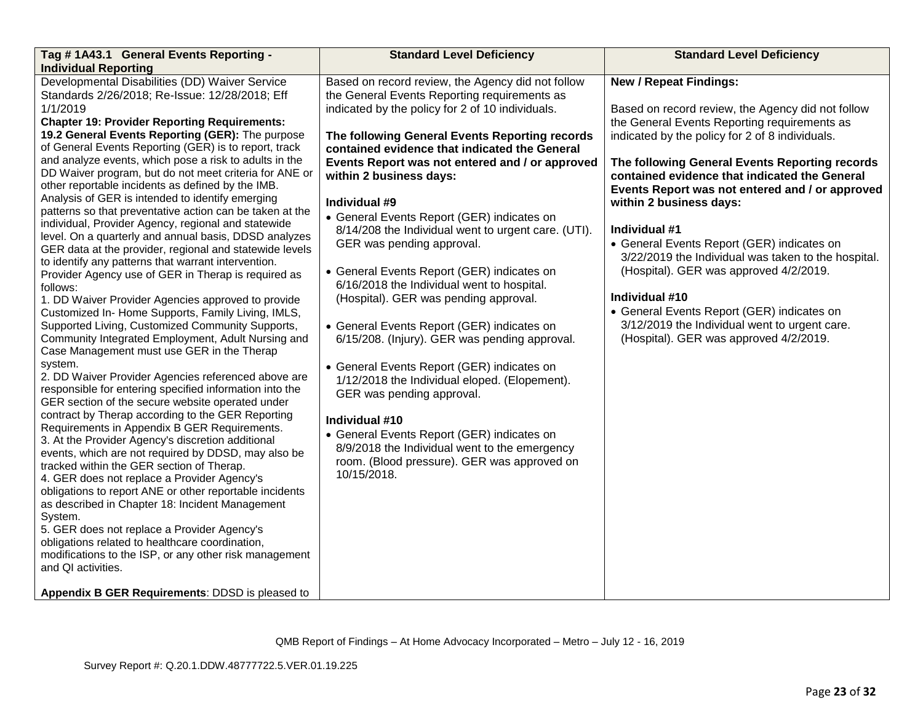| Tag #1A43.1 General Events Reporting -                                                                                                                                                                                                                                                                                                                                                                                                                                                                                                                                                                                                                                                                                                                                                                                                                                                                                                                                                                                                                                                                                                                                                                                                                                                                                                                                                                                                                                                                                                                                                                                                                                                                                                                                                                                                                                                                                                                                                                         | <b>Standard Level Deficiency</b>                                                                                                                                                                                                                                                                                                                                                                                                                                                                                                                                                                                                                                                                                                                                                                                                                                                                                                                                                                                                         | <b>Standard Level Deficiency</b>                                                                                                                                                                                                                                                                                                                                                                                                                                                                                                                                                                                                                                                                  |
|----------------------------------------------------------------------------------------------------------------------------------------------------------------------------------------------------------------------------------------------------------------------------------------------------------------------------------------------------------------------------------------------------------------------------------------------------------------------------------------------------------------------------------------------------------------------------------------------------------------------------------------------------------------------------------------------------------------------------------------------------------------------------------------------------------------------------------------------------------------------------------------------------------------------------------------------------------------------------------------------------------------------------------------------------------------------------------------------------------------------------------------------------------------------------------------------------------------------------------------------------------------------------------------------------------------------------------------------------------------------------------------------------------------------------------------------------------------------------------------------------------------------------------------------------------------------------------------------------------------------------------------------------------------------------------------------------------------------------------------------------------------------------------------------------------------------------------------------------------------------------------------------------------------------------------------------------------------------------------------------------------------|------------------------------------------------------------------------------------------------------------------------------------------------------------------------------------------------------------------------------------------------------------------------------------------------------------------------------------------------------------------------------------------------------------------------------------------------------------------------------------------------------------------------------------------------------------------------------------------------------------------------------------------------------------------------------------------------------------------------------------------------------------------------------------------------------------------------------------------------------------------------------------------------------------------------------------------------------------------------------------------------------------------------------------------|---------------------------------------------------------------------------------------------------------------------------------------------------------------------------------------------------------------------------------------------------------------------------------------------------------------------------------------------------------------------------------------------------------------------------------------------------------------------------------------------------------------------------------------------------------------------------------------------------------------------------------------------------------------------------------------------------|
| <b>Individual Reporting</b>                                                                                                                                                                                                                                                                                                                                                                                                                                                                                                                                                                                                                                                                                                                                                                                                                                                                                                                                                                                                                                                                                                                                                                                                                                                                                                                                                                                                                                                                                                                                                                                                                                                                                                                                                                                                                                                                                                                                                                                    |                                                                                                                                                                                                                                                                                                                                                                                                                                                                                                                                                                                                                                                                                                                                                                                                                                                                                                                                                                                                                                          |                                                                                                                                                                                                                                                                                                                                                                                                                                                                                                                                                                                                                                                                                                   |
| Developmental Disabilities (DD) Waiver Service<br>Standards 2/26/2018; Re-Issue: 12/28/2018; Eff<br>1/1/2019<br><b>Chapter 19: Provider Reporting Requirements:</b><br>19.2 General Events Reporting (GER): The purpose<br>of General Events Reporting (GER) is to report, track<br>and analyze events, which pose a risk to adults in the<br>DD Waiver program, but do not meet criteria for ANE or<br>other reportable incidents as defined by the IMB.<br>Analysis of GER is intended to identify emerging<br>patterns so that preventative action can be taken at the<br>individual, Provider Agency, regional and statewide<br>level. On a quarterly and annual basis, DDSD analyzes<br>GER data at the provider, regional and statewide levels<br>to identify any patterns that warrant intervention.<br>Provider Agency use of GER in Therap is required as<br>follows:<br>1. DD Waiver Provider Agencies approved to provide<br>Customized In- Home Supports, Family Living, IMLS,<br>Supported Living, Customized Community Supports,<br>Community Integrated Employment, Adult Nursing and<br>Case Management must use GER in the Therap<br>system.<br>2. DD Waiver Provider Agencies referenced above are<br>responsible for entering specified information into the<br>GER section of the secure website operated under<br>contract by Therap according to the GER Reporting<br>Requirements in Appendix B GER Requirements.<br>3. At the Provider Agency's discretion additional<br>events, which are not required by DDSD, may also be<br>tracked within the GER section of Therap.<br>4. GER does not replace a Provider Agency's<br>obligations to report ANE or other reportable incidents<br>as described in Chapter 18: Incident Management<br>System.<br>5. GER does not replace a Provider Agency's<br>obligations related to healthcare coordination,<br>modifications to the ISP, or any other risk management<br>and QI activities.<br>Appendix B GER Requirements: DDSD is pleased to | Based on record review, the Agency did not follow<br>the General Events Reporting requirements as<br>indicated by the policy for 2 of 10 individuals.<br>The following General Events Reporting records<br>contained evidence that indicated the General<br>Events Report was not entered and / or approved<br>within 2 business days:<br>Individual #9<br>• General Events Report (GER) indicates on<br>8/14/208 the Individual went to urgent care. (UTI).<br>GER was pending approval.<br>• General Events Report (GER) indicates on<br>6/16/2018 the Individual went to hospital.<br>(Hospital). GER was pending approval.<br>• General Events Report (GER) indicates on<br>6/15/208. (Injury). GER was pending approval.<br>• General Events Report (GER) indicates on<br>1/12/2018 the Individual eloped. (Elopement).<br>GER was pending approval.<br>Individual #10<br>• General Events Report (GER) indicates on<br>8/9/2018 the Individual went to the emergency<br>room. (Blood pressure). GER was approved on<br>10/15/2018. | <b>New / Repeat Findings:</b><br>Based on record review, the Agency did not follow<br>the General Events Reporting requirements as<br>indicated by the policy for 2 of 8 individuals.<br>The following General Events Reporting records<br>contained evidence that indicated the General<br>Events Report was not entered and / or approved<br>within 2 business days:<br>Individual #1<br>• General Events Report (GER) indicates on<br>3/22/2019 the Individual was taken to the hospital.<br>(Hospital). GER was approved 4/2/2019.<br>Individual #10<br>• General Events Report (GER) indicates on<br>3/12/2019 the Individual went to urgent care.<br>(Hospital). GER was approved 4/2/2019. |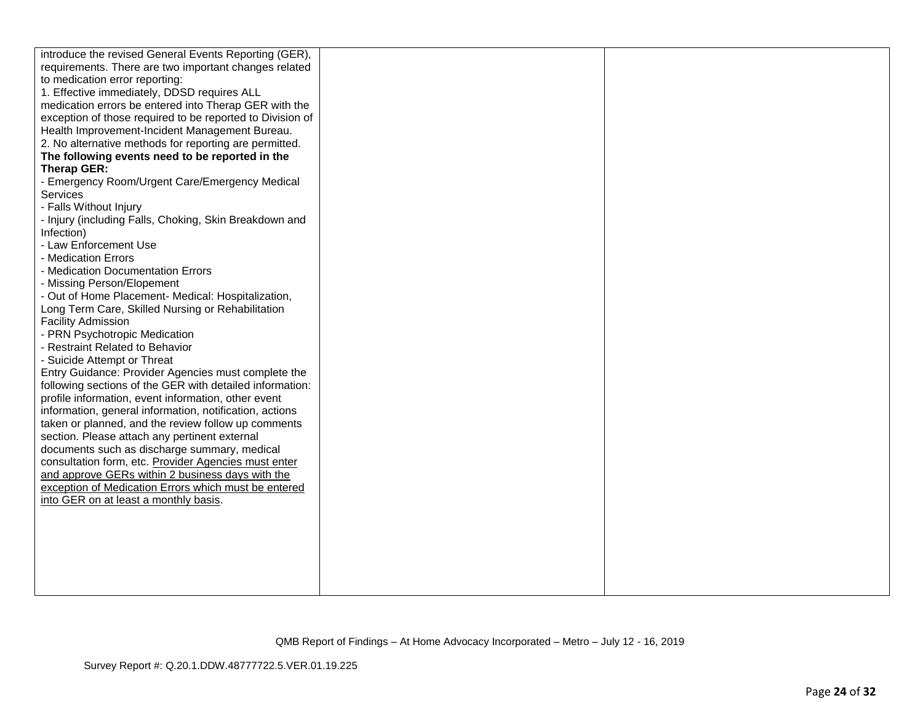| introduce the revised General Events Reporting (GER),            |  |
|------------------------------------------------------------------|--|
| requirements. There are two important changes related            |  |
| to medication error reporting:                                   |  |
| 1. Effective immediately, DDSD requires ALL                      |  |
| medication errors be entered into Therap GER with the            |  |
| exception of those required to be reported to Division of        |  |
| Health Improvement-Incident Management Bureau.                   |  |
| 2. No alternative methods for reporting are permitted.           |  |
| The following events need to be reported in the                  |  |
| Therap GER:                                                      |  |
| - Emergency Room/Urgent Care/Emergency Medical                   |  |
| Services                                                         |  |
| - Falls Without Injury                                           |  |
| - Injury (including Falls, Choking, Skin Breakdown and           |  |
| Infection)                                                       |  |
| - Law Enforcement Use                                            |  |
| - Medication Errors                                              |  |
| - Medication Documentation Errors                                |  |
| - Missing Person/Elopement                                       |  |
| - Out of Home Placement- Medical: Hospitalization,               |  |
| Long Term Care, Skilled Nursing or Rehabilitation                |  |
| <b>Facility Admission</b>                                        |  |
| - PRN Psychotropic Medication<br>- Restraint Related to Behavior |  |
| - Suicide Attempt or Threat                                      |  |
| Entry Guidance: Provider Agencies must complete the              |  |
| following sections of the GER with detailed information:         |  |
| profile information, event information, other event              |  |
| information, general information, notification, actions          |  |
| taken or planned, and the review follow up comments              |  |
| section. Please attach any pertinent external                    |  |
| documents such as discharge summary, medical                     |  |
| consultation form, etc. Provider Agencies must enter             |  |
| and approve GERs within 2 business days with the                 |  |
| exception of Medication Errors which must be entered             |  |
| into GER on at least a monthly basis.                            |  |
|                                                                  |  |
|                                                                  |  |
|                                                                  |  |
|                                                                  |  |
|                                                                  |  |
|                                                                  |  |
|                                                                  |  |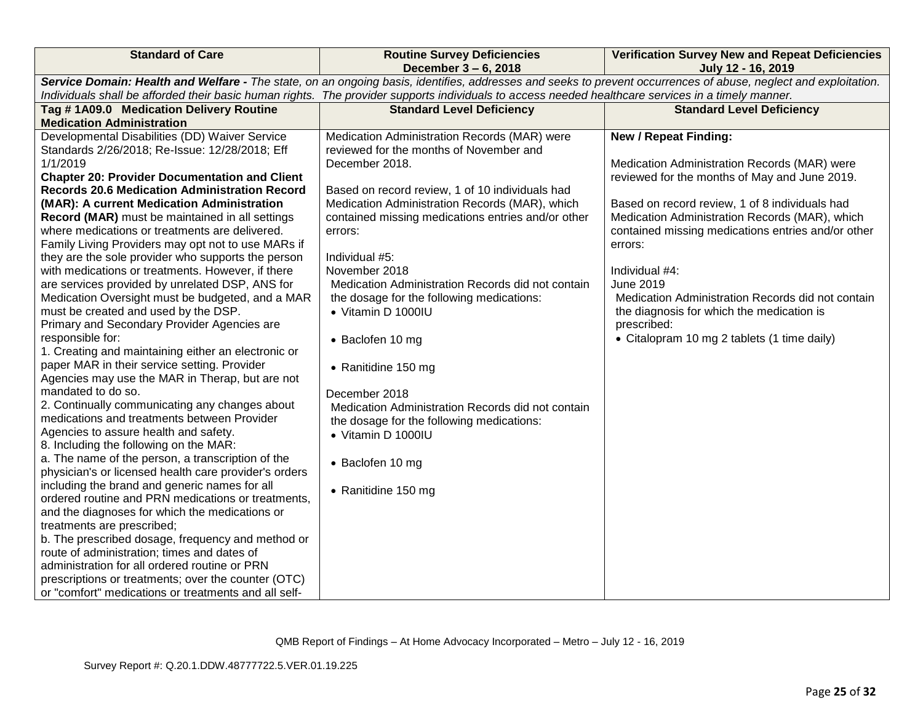| <b>Standard of Care</b>                                                                                                                                                                                                                                                                                               | <b>Routine Survey Deficiencies</b>                 | <b>Verification Survey New and Repeat Deficiencies</b> |  |
|-----------------------------------------------------------------------------------------------------------------------------------------------------------------------------------------------------------------------------------------------------------------------------------------------------------------------|----------------------------------------------------|--------------------------------------------------------|--|
| December 3 - 6, 2018                                                                                                                                                                                                                                                                                                  |                                                    | July 12 - 16, 2019                                     |  |
| Service Domain: Health and Welfare - The state, on an ongoing basis, identifies, addresses and seeks to prevent occurrences of abuse, neglect and exploitation.<br>Individuals shall be afforded their basic human rights. The provider supports individuals to access needed healthcare services in a timely manner. |                                                    |                                                        |  |
| Tag #1A09.0 Medication Delivery Routine<br><b>Standard Level Deficiency</b><br><b>Standard Level Deficiency</b>                                                                                                                                                                                                       |                                                    |                                                        |  |
| <b>Medication Administration</b>                                                                                                                                                                                                                                                                                      |                                                    |                                                        |  |
| Developmental Disabilities (DD) Waiver Service                                                                                                                                                                                                                                                                        | Medication Administration Records (MAR) were       | <b>New / Repeat Finding:</b>                           |  |
| Standards 2/26/2018; Re-Issue: 12/28/2018; Eff                                                                                                                                                                                                                                                                        | reviewed for the months of November and            |                                                        |  |
| 1/1/2019                                                                                                                                                                                                                                                                                                              | December 2018.                                     | Medication Administration Records (MAR) were           |  |
| <b>Chapter 20: Provider Documentation and Client</b>                                                                                                                                                                                                                                                                  |                                                    | reviewed for the months of May and June 2019.          |  |
| <b>Records 20.6 Medication Administration Record</b>                                                                                                                                                                                                                                                                  | Based on record review, 1 of 10 individuals had    |                                                        |  |
| (MAR): A current Medication Administration                                                                                                                                                                                                                                                                            | Medication Administration Records (MAR), which     | Based on record review, 1 of 8 individuals had         |  |
| Record (MAR) must be maintained in all settings                                                                                                                                                                                                                                                                       | contained missing medications entries and/or other | Medication Administration Records (MAR), which         |  |
| where medications or treatments are delivered.                                                                                                                                                                                                                                                                        | errors:                                            | contained missing medications entries and/or other     |  |
| Family Living Providers may opt not to use MARs if                                                                                                                                                                                                                                                                    |                                                    | errors:                                                |  |
| they are the sole provider who supports the person                                                                                                                                                                                                                                                                    | Individual #5:                                     |                                                        |  |
| with medications or treatments. However, if there                                                                                                                                                                                                                                                                     | November 2018                                      | Individual #4:                                         |  |
| are services provided by unrelated DSP, ANS for                                                                                                                                                                                                                                                                       | Medication Administration Records did not contain  | <b>June 2019</b>                                       |  |
| Medication Oversight must be budgeted, and a MAR                                                                                                                                                                                                                                                                      | the dosage for the following medications:          | Medication Administration Records did not contain      |  |
| must be created and used by the DSP.                                                                                                                                                                                                                                                                                  | • Vitamin D 1000IU                                 | the diagnosis for which the medication is              |  |
| Primary and Secondary Provider Agencies are                                                                                                                                                                                                                                                                           |                                                    | prescribed:                                            |  |
| responsible for:                                                                                                                                                                                                                                                                                                      | • Baclofen 10 mg                                   | • Citalopram 10 mg 2 tablets (1 time daily)            |  |
| 1. Creating and maintaining either an electronic or                                                                                                                                                                                                                                                                   |                                                    |                                                        |  |
| paper MAR in their service setting. Provider                                                                                                                                                                                                                                                                          | • Ranitidine 150 mg                                |                                                        |  |
| Agencies may use the MAR in Therap, but are not<br>mandated to do so.                                                                                                                                                                                                                                                 |                                                    |                                                        |  |
| 2. Continually communicating any changes about                                                                                                                                                                                                                                                                        | December 2018                                      |                                                        |  |
| medications and treatments between Provider                                                                                                                                                                                                                                                                           | Medication Administration Records did not contain  |                                                        |  |
| Agencies to assure health and safety.                                                                                                                                                                                                                                                                                 | the dosage for the following medications:          |                                                        |  |
| 8. Including the following on the MAR:                                                                                                                                                                                                                                                                                | • Vitamin D 1000IU                                 |                                                        |  |
| a. The name of the person, a transcription of the                                                                                                                                                                                                                                                                     |                                                    |                                                        |  |
| physician's or licensed health care provider's orders                                                                                                                                                                                                                                                                 | • Baclofen 10 mg                                   |                                                        |  |
| including the brand and generic names for all                                                                                                                                                                                                                                                                         |                                                    |                                                        |  |
| ordered routine and PRN medications or treatments,                                                                                                                                                                                                                                                                    | • Ranitidine 150 mg                                |                                                        |  |
| and the diagnoses for which the medications or                                                                                                                                                                                                                                                                        |                                                    |                                                        |  |
| treatments are prescribed;                                                                                                                                                                                                                                                                                            |                                                    |                                                        |  |
| b. The prescribed dosage, frequency and method or                                                                                                                                                                                                                                                                     |                                                    |                                                        |  |
| route of administration; times and dates of                                                                                                                                                                                                                                                                           |                                                    |                                                        |  |
| administration for all ordered routine or PRN                                                                                                                                                                                                                                                                         |                                                    |                                                        |  |
| prescriptions or treatments; over the counter (OTC)                                                                                                                                                                                                                                                                   |                                                    |                                                        |  |
| or "comfort" medications or treatments and all self-                                                                                                                                                                                                                                                                  |                                                    |                                                        |  |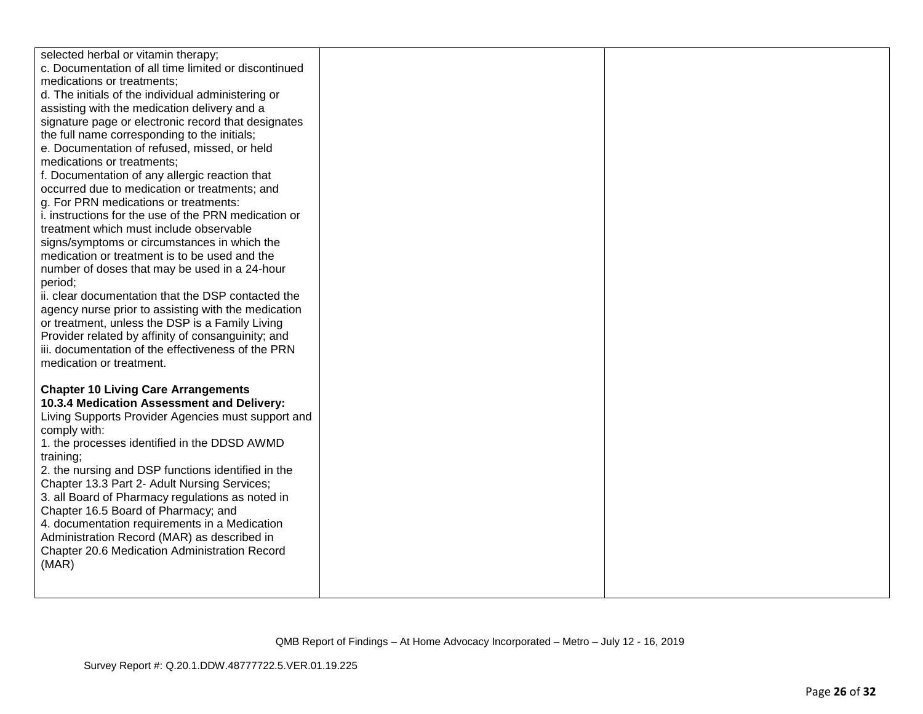| selected herbal or vitamin therapy;<br>c. Documentation of all time limited or discontinued<br>medications or treatments; |  |
|---------------------------------------------------------------------------------------------------------------------------|--|
| d. The initials of the individual administering or                                                                        |  |
| assisting with the medication delivery and a                                                                              |  |
| signature page or electronic record that designates                                                                       |  |
| the full name corresponding to the initials;                                                                              |  |
| e. Documentation of refused, missed, or held                                                                              |  |
| medications or treatments;                                                                                                |  |
| f. Documentation of any allergic reaction that                                                                            |  |
| occurred due to medication or treatments; and                                                                             |  |
| g. For PRN medications or treatments:                                                                                     |  |
| i. instructions for the use of the PRN medication or<br>treatment which must include observable                           |  |
| signs/symptoms or circumstances in which the                                                                              |  |
| medication or treatment is to be used and the                                                                             |  |
| number of doses that may be used in a 24-hour                                                                             |  |
| period;                                                                                                                   |  |
| ii. clear documentation that the DSP contacted the                                                                        |  |
| agency nurse prior to assisting with the medication                                                                       |  |
| or treatment, unless the DSP is a Family Living                                                                           |  |
| Provider related by affinity of consanguinity; and                                                                        |  |
| iii. documentation of the effectiveness of the PRN                                                                        |  |
| medication or treatment.                                                                                                  |  |
|                                                                                                                           |  |
| <b>Chapter 10 Living Care Arrangements</b><br>10.3.4 Medication Assessment and Delivery:                                  |  |
| Living Supports Provider Agencies must support and                                                                        |  |
| comply with:                                                                                                              |  |
| 1. the processes identified in the DDSD AWMD                                                                              |  |
| training;                                                                                                                 |  |
| 2. the nursing and DSP functions identified in the                                                                        |  |
| Chapter 13.3 Part 2- Adult Nursing Services;                                                                              |  |
| 3. all Board of Pharmacy regulations as noted in                                                                          |  |
| Chapter 16.5 Board of Pharmacy; and                                                                                       |  |
| 4. documentation requirements in a Medication                                                                             |  |
| Administration Record (MAR) as described in<br>Chapter 20.6 Medication Administration Record                              |  |
| (MAR)                                                                                                                     |  |
|                                                                                                                           |  |
|                                                                                                                           |  |
|                                                                                                                           |  |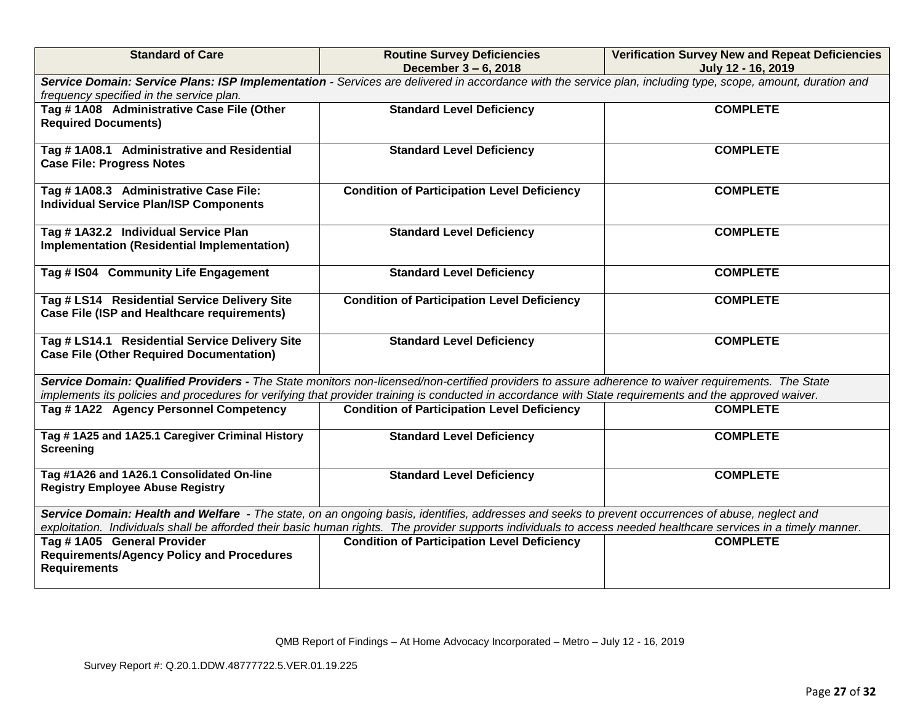| <b>Standard of Care</b>                                                                                                                                                           | <b>Routine Survey Deficiencies</b><br>December 3 - 6, 2018                                                                                                                                                                                                                                                     | <b>Verification Survey New and Repeat Deficiencies</b> |  |  |
|-----------------------------------------------------------------------------------------------------------------------------------------------------------------------------------|----------------------------------------------------------------------------------------------------------------------------------------------------------------------------------------------------------------------------------------------------------------------------------------------------------------|--------------------------------------------------------|--|--|
| July 12 - 16, 2019<br>Service Domain: Service Plans: ISP Implementation - Services are delivered in accordance with the service plan, including type, scope, amount, duration and |                                                                                                                                                                                                                                                                                                                |                                                        |  |  |
| frequency specified in the service plan.                                                                                                                                          |                                                                                                                                                                                                                                                                                                                |                                                        |  |  |
| Tag #1A08 Administrative Case File (Other                                                                                                                                         | <b>Standard Level Deficiency</b><br><b>COMPLETE</b>                                                                                                                                                                                                                                                            |                                                        |  |  |
| <b>Required Documents)</b>                                                                                                                                                        |                                                                                                                                                                                                                                                                                                                |                                                        |  |  |
|                                                                                                                                                                                   |                                                                                                                                                                                                                                                                                                                |                                                        |  |  |
| Tag #1A08.1 Administrative and Residential                                                                                                                                        | <b>Standard Level Deficiency</b>                                                                                                                                                                                                                                                                               | <b>COMPLETE</b>                                        |  |  |
| <b>Case File: Progress Notes</b>                                                                                                                                                  |                                                                                                                                                                                                                                                                                                                |                                                        |  |  |
|                                                                                                                                                                                   |                                                                                                                                                                                                                                                                                                                |                                                        |  |  |
| Tag #1A08.3 Administrative Case File:                                                                                                                                             | <b>Condition of Participation Level Deficiency</b>                                                                                                                                                                                                                                                             | <b>COMPLETE</b>                                        |  |  |
| <b>Individual Service Plan/ISP Components</b>                                                                                                                                     |                                                                                                                                                                                                                                                                                                                |                                                        |  |  |
| Tag #1A32.2 Individual Service Plan                                                                                                                                               | <b>Standard Level Deficiency</b>                                                                                                                                                                                                                                                                               | <b>COMPLETE</b>                                        |  |  |
| Implementation (Residential Implementation)                                                                                                                                       |                                                                                                                                                                                                                                                                                                                |                                                        |  |  |
|                                                                                                                                                                                   |                                                                                                                                                                                                                                                                                                                |                                                        |  |  |
| Tag # IS04 Community Life Engagement                                                                                                                                              | <b>Standard Level Deficiency</b>                                                                                                                                                                                                                                                                               | <b>COMPLETE</b>                                        |  |  |
|                                                                                                                                                                                   |                                                                                                                                                                                                                                                                                                                |                                                        |  |  |
| Tag # LS14 Residential Service Delivery Site                                                                                                                                      | <b>Condition of Participation Level Deficiency</b>                                                                                                                                                                                                                                                             | <b>COMPLETE</b>                                        |  |  |
| Case File (ISP and Healthcare requirements)                                                                                                                                       |                                                                                                                                                                                                                                                                                                                |                                                        |  |  |
|                                                                                                                                                                                   |                                                                                                                                                                                                                                                                                                                |                                                        |  |  |
| Tag # LS14.1 Residential Service Delivery Site                                                                                                                                    | <b>Standard Level Deficiency</b>                                                                                                                                                                                                                                                                               | <b>COMPLETE</b>                                        |  |  |
| <b>Case File (Other Required Documentation)</b>                                                                                                                                   |                                                                                                                                                                                                                                                                                                                |                                                        |  |  |
|                                                                                                                                                                                   |                                                                                                                                                                                                                                                                                                                |                                                        |  |  |
|                                                                                                                                                                                   | Service Domain: Qualified Providers - The State monitors non-licensed/non-certified providers to assure adherence to waiver requirements. The State<br>implements its policies and procedures for verifying that provider training is conducted in accordance with State requirements and the approved waiver. |                                                        |  |  |
| Tag #1A22 Agency Personnel Competency                                                                                                                                             | <b>Condition of Participation Level Deficiency</b>                                                                                                                                                                                                                                                             | <b>COMPLETE</b>                                        |  |  |
|                                                                                                                                                                                   |                                                                                                                                                                                                                                                                                                                |                                                        |  |  |
| Tag #1A25 and 1A25.1 Caregiver Criminal History                                                                                                                                   | <b>Standard Level Deficiency</b>                                                                                                                                                                                                                                                                               | <b>COMPLETE</b>                                        |  |  |
| <b>Screening</b>                                                                                                                                                                  |                                                                                                                                                                                                                                                                                                                |                                                        |  |  |
|                                                                                                                                                                                   |                                                                                                                                                                                                                                                                                                                |                                                        |  |  |
| Tag #1A26 and 1A26.1 Consolidated On-line                                                                                                                                         | <b>Standard Level Deficiency</b>                                                                                                                                                                                                                                                                               | <b>COMPLETE</b>                                        |  |  |
| <b>Registry Employee Abuse Registry</b>                                                                                                                                           |                                                                                                                                                                                                                                                                                                                |                                                        |  |  |
| Service Domain: Health and Welfare - The state, on an ongoing basis, identifies, addresses and seeks to prevent occurrences of abuse, neglect and                                 |                                                                                                                                                                                                                                                                                                                |                                                        |  |  |
| exploitation. Individuals shall be afforded their basic human rights. The provider supports individuals to access needed healthcare services in a timely manner.                  |                                                                                                                                                                                                                                                                                                                |                                                        |  |  |
| Tag #1A05 General Provider                                                                                                                                                        | <b>Condition of Participation Level Deficiency</b>                                                                                                                                                                                                                                                             | <b>COMPLETE</b>                                        |  |  |
| <b>Requirements/Agency Policy and Procedures</b>                                                                                                                                  |                                                                                                                                                                                                                                                                                                                |                                                        |  |  |
| <b>Requirements</b>                                                                                                                                                               |                                                                                                                                                                                                                                                                                                                |                                                        |  |  |
|                                                                                                                                                                                   |                                                                                                                                                                                                                                                                                                                |                                                        |  |  |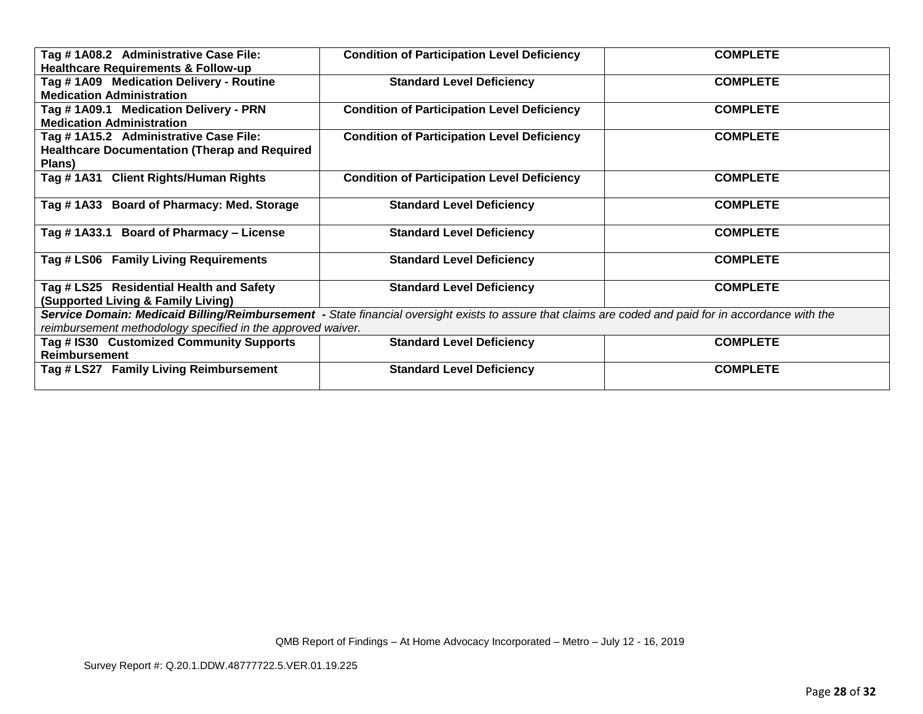| Tag #1A08.2 Administrative Case File:                       | <b>Condition of Participation Level Deficiency</b>                                                                                                    | <b>COMPLETE</b> |
|-------------------------------------------------------------|-------------------------------------------------------------------------------------------------------------------------------------------------------|-----------------|
| <b>Healthcare Requirements &amp; Follow-up</b>              |                                                                                                                                                       |                 |
|                                                             |                                                                                                                                                       | <b>COMPLETE</b> |
| Tag #1A09 Medication Delivery - Routine                     | <b>Standard Level Deficiency</b>                                                                                                                      |                 |
| <b>Medication Administration</b>                            |                                                                                                                                                       |                 |
| Tag #1A09.1 Medication Delivery - PRN                       | <b>Condition of Participation Level Deficiency</b>                                                                                                    | <b>COMPLETE</b> |
| <b>Medication Administration</b>                            |                                                                                                                                                       |                 |
| Tag # 1A15.2 Administrative Case File:                      | <b>Condition of Participation Level Deficiency</b>                                                                                                    | <b>COMPLETE</b> |
| <b>Healthcare Documentation (Therap and Required)</b>       |                                                                                                                                                       |                 |
| Plans)                                                      |                                                                                                                                                       |                 |
| Tag #1A31 Client Rights/Human Rights                        | <b>Condition of Participation Level Deficiency</b>                                                                                                    | <b>COMPLETE</b> |
|                                                             |                                                                                                                                                       |                 |
| Tag #1A33 Board of Pharmacy: Med. Storage                   | <b>Standard Level Deficiency</b>                                                                                                                      | <b>COMPLETE</b> |
|                                                             |                                                                                                                                                       |                 |
| Tag #1A33.1 Board of Pharmacy - License                     | <b>Standard Level Deficiency</b>                                                                                                                      | <b>COMPLETE</b> |
|                                                             |                                                                                                                                                       |                 |
| Tag # LS06 Family Living Requirements                       | <b>Standard Level Deficiency</b>                                                                                                                      | <b>COMPLETE</b> |
|                                                             |                                                                                                                                                       |                 |
| Tag # LS25 Residential Health and Safety                    |                                                                                                                                                       | <b>COMPLETE</b> |
|                                                             | <b>Standard Level Deficiency</b>                                                                                                                      |                 |
| (Supported Living & Family Living)                          |                                                                                                                                                       |                 |
|                                                             | Service Domain: Medicaid Billing/Reimbursement - State financial oversight exists to assure that claims are coded and paid for in accordance with the |                 |
| reimbursement methodology specified in the approved waiver. |                                                                                                                                                       |                 |
| Tag # IS30 Customized Community Supports                    | <b>Standard Level Deficiency</b>                                                                                                                      | <b>COMPLETE</b> |
| <b>Reimbursement</b>                                        |                                                                                                                                                       |                 |
| Tag # LS27 Family Living Reimbursement                      | <b>Standard Level Deficiency</b>                                                                                                                      | <b>COMPLETE</b> |
|                                                             |                                                                                                                                                       |                 |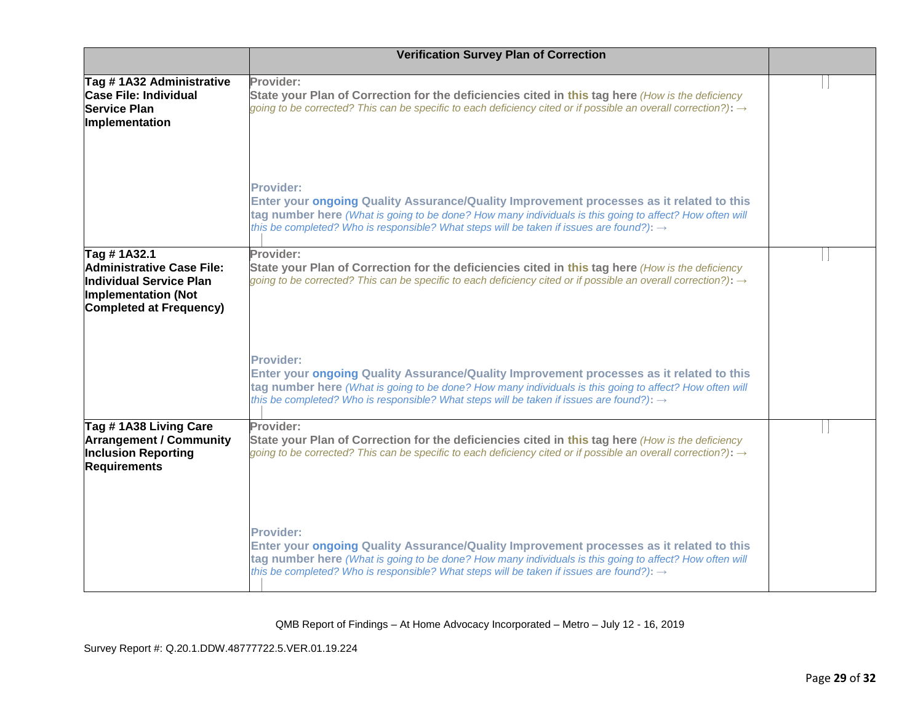|                                                                                                                                            | <b>Verification Survey Plan of Correction</b>                                                                                                                                                                                                                                                                                   |  |
|--------------------------------------------------------------------------------------------------------------------------------------------|---------------------------------------------------------------------------------------------------------------------------------------------------------------------------------------------------------------------------------------------------------------------------------------------------------------------------------|--|
| Tag #1A32 Administrative<br><b>Case File: Individual</b><br><b>Service Plan</b><br>Implementation                                          | Provider:<br>State your Plan of Correction for the deficiencies cited in this tag here (How is the deficiency<br>going to be corrected? This can be specific to each deficiency cited or if possible an overall correction?): $\rightarrow$                                                                                     |  |
|                                                                                                                                            | Provider:<br>Enter your ongoing Quality Assurance/Quality Improvement processes as it related to this<br>tag number here (What is going to be done? How many individuals is this going to affect? How often will<br>this be completed? Who is responsible? What steps will be taken if issues are found?): $\rightarrow$        |  |
| Tag #1A32.1<br><b>Administrative Case File:</b><br>Individual Service Plan<br><b>Implementation (Not</b><br><b>Completed at Frequency)</b> | Provider:<br>State your Plan of Correction for the deficiencies cited in this tag here (How is the deficiency<br>going to be corrected? This can be specific to each deficiency cited or if possible an overall correction?): $\rightarrow$                                                                                     |  |
|                                                                                                                                            | <b>Provider:</b><br>Enter your ongoing Quality Assurance/Quality Improvement processes as it related to this<br>tag number here (What is going to be done? How many individuals is this going to affect? How often will<br>this be completed? Who is responsible? What steps will be taken if issues are found?): $\rightarrow$ |  |
| Tag #1A38 Living Care<br><b>Arrangement / Community</b><br><b>Inclusion Reporting</b><br><b>Requirements</b>                               | Provider:<br>State your Plan of Correction for the deficiencies cited in this tag here (How is the deficiency<br>going to be corrected? This can be specific to each deficiency cited or if possible an overall correction?): $\rightarrow$                                                                                     |  |
|                                                                                                                                            | <b>Provider:</b><br>Enter your ongoing Quality Assurance/Quality Improvement processes as it related to this<br>tag number here (What is going to be done? How many individuals is this going to affect? How often will<br>this be completed? Who is responsible? What steps will be taken if issues are found?): $\rightarrow$ |  |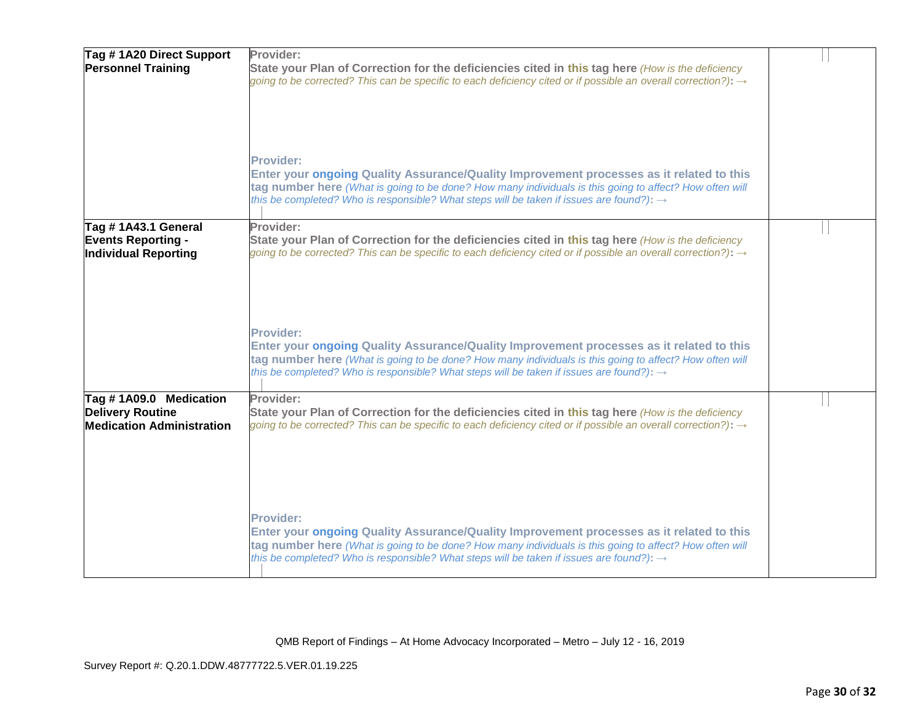| Tag #1A20 Direct Support<br><b>Personnel Training</b>                                 | Provider:<br>State your Plan of Correction for the deficiencies cited in this tag here (How is the deficiency<br>going to be corrected? This can be specific to each deficiency cited or if possible an overall correction?): $\rightarrow$                                                                                     |  |
|---------------------------------------------------------------------------------------|---------------------------------------------------------------------------------------------------------------------------------------------------------------------------------------------------------------------------------------------------------------------------------------------------------------------------------|--|
|                                                                                       | Provider:<br>Enter your ongoing Quality Assurance/Quality Improvement processes as it related to this<br>tag number here (What is going to be done? How many individuals is this going to affect? How often will<br>this be completed? Who is responsible? What steps will be taken if issues are found?): $\rightarrow$        |  |
| Tag # 1A43.1 General<br><b>Events Reporting -</b><br><b>Individual Reporting</b>      | Provider:<br>State your Plan of Correction for the deficiencies cited in this tag here (How is the deficiency<br>going to be corrected? This can be specific to each deficiency cited or if possible an overall correction?): $\rightarrow$                                                                                     |  |
|                                                                                       | <b>Provider:</b><br>Enter your ongoing Quality Assurance/Quality Improvement processes as it related to this<br>tag number here (What is going to be done? How many individuals is this going to affect? How often will<br>this be completed? Who is responsible? What steps will be taken if issues are found?): $\rightarrow$ |  |
| Tag #1A09.0 Medication<br><b>Delivery Routine</b><br><b>Medication Administration</b> | Provider:<br>State your Plan of Correction for the deficiencies cited in this tag here (How is the deficiency<br>going to be corrected? This can be specific to each deficiency cited or if possible an overall correction?): $\rightarrow$                                                                                     |  |
|                                                                                       | Provider:<br>Enter your ongoing Quality Assurance/Quality Improvement processes as it related to this<br>tag number here (What is going to be done? How many individuals is this going to affect? How often will<br>this be completed? Who is responsible? What steps will be taken if issues are found?): $\rightarrow$        |  |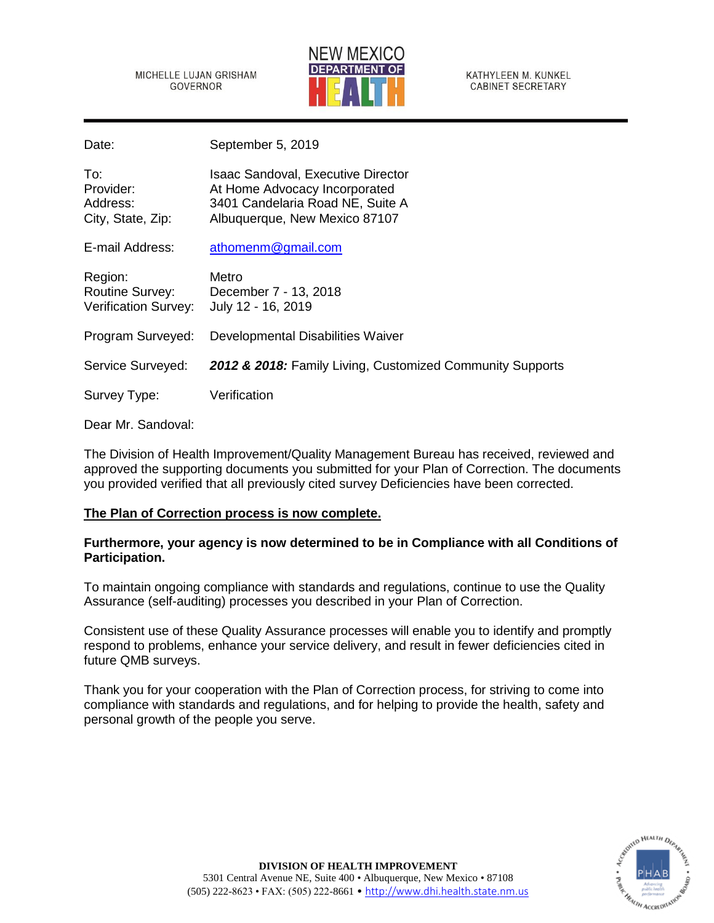MICHELLE LUJAN GRISHAM GOVERNOR



KATHYLEEN M. KUNKEL **CABINET SECRETARY** 

Date: September 5, 2019

| To:<br>Provider:<br>Address:<br>City, State, Zip:                | <b>Isaac Sandoval, Executive Director</b><br>At Home Advocacy Incorporated<br>3401 Candelaria Road NE, Suite A<br>Albuquerque, New Mexico 87107 |
|------------------------------------------------------------------|-------------------------------------------------------------------------------------------------------------------------------------------------|
| E-mail Address:                                                  | athomenm@gmail.com                                                                                                                              |
| Region:<br><b>Routine Survey:</b><br><b>Verification Survey:</b> | Metro<br>December 7 - 13, 2018<br>July 12 - 16, 2019                                                                                            |
| Program Surveyed:                                                | Developmental Disabilities Waiver                                                                                                               |
| Service Surveyed:                                                | 2012 & 2018: Family Living, Customized Community Supports                                                                                       |
| Survey Type:                                                     | Verification                                                                                                                                    |

# Dear Mr. Sandoval:

The Division of Health Improvement/Quality Management Bureau has received, reviewed and approved the supporting documents you submitted for your Plan of Correction. The documents you provided verified that all previously cited survey Deficiencies have been corrected.

# **The Plan of Correction process is now complete.**

# **Furthermore, your agency is now determined to be in Compliance with all Conditions of Participation.**

To maintain ongoing compliance with standards and regulations, continue to use the Quality Assurance (self-auditing) processes you described in your Plan of Correction.

Consistent use of these Quality Assurance processes will enable you to identify and promptly respond to problems, enhance your service delivery, and result in fewer deficiencies cited in future QMB surveys.

Thank you for your cooperation with the Plan of Correction process, for striving to come into compliance with standards and regulations, and for helping to provide the health, safety and personal growth of the people you serve.